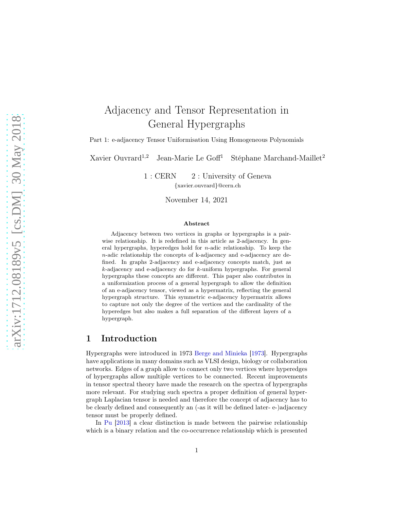# Adjacency and Tensor Representation in General Hypergraphs

Part 1: e-adjacency Tensor Uniformisation Using Homogeneous Polynomials

Xavier Ouvrard<sup>1,2</sup> Jean-Marie Le Goff<sup>1</sup> Stéphane Marchand-Maillet<sup>2</sup>

1 : CERN 2 : University of Geneva {xavier.ouvrard}@cern.ch

November 14, 2021

#### Abstract

Adjacency between two vertices in graphs or hypergraphs is a pairwise relationship. It is redefined in this article as 2-adjacency. In general hypergraphs, hyperedges hold for  $n$ -adic relationship. To keep the n-adic relationship the concepts of k-adjacency and e-adjacency are defined. In graphs 2-adjacency and e-adjacency concepts match, just as  $k$ -adjacency and e-adjacency do for  $k$ -uniform hypergraphs. For general hypergraphs these concepts are different. This paper also contributes in a uniformization process of a general hypergraph to allow the definition of an e-adjacency tensor, viewed as a hypermatrix, reflecting the general hypergraph structure. This symmetric e-adjacency hypermatrix allows to capture not only the degree of the vertices and the cardinality of the hyperedges but also makes a full separation of the different layers of a hypergraph.

## 1 Introduction

Hypergraphs were introduced in 1973 [Berge and Minieka](#page-32-0) [\[1973\]](#page-32-0). Hypergraphs have applications in many domains such as VLSI design, biology or collaboration networks. Edges of a graph allow to connect only two vertices where hyperedges of hypergraphs allow multiple vertices to be connected. Recent improvements in tensor spectral theory have made the research on the spectra of hypergraphs more relevant. For studying such spectra a proper definition of general hypergraph Laplacian tensor is needed and therefore the concept of adjacency has to be clearly defined and consequently an (-as it will be defined later- e-)adjacency tensor must be properly defined.

In [Pu](#page-33-0) [\[2013](#page-33-0)] a clear distinction is made between the pairwise relationship which is a binary relation and the co-occurrence relationship which is presented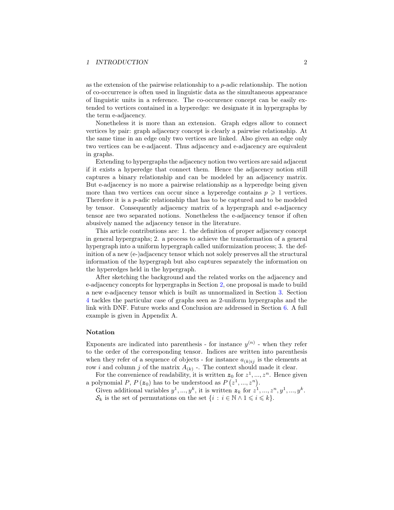#### 1 INTRODUCTION 2

as the extension of the pairwise relationship to a  $p$ -adic relationship. The notion of co-occurrence is often used in linguistic data as the simultaneous appearance of linguistic units in a reference. The co-occurence concept can be easily extended to vertices contained in a hyperedge: we designate it in hypergraphs by the term e-adjacency.

Nonetheless it is more than an extension. Graph edges allow to connect vertices by pair: graph adjacency concept is clearly a pairwise relationship. At the same time in an edge only two vertices are linked. Also given an edge only two vertices can be e-adjacent. Thus adjacency and e-adjacency are equivalent in graphs.

Extending to hypergraphs the adjacency notion two vertices are said adjacent if it exists a hyperedge that connect them. Hence the adjacency notion still captures a binary relationship and can be modeled by an adjacency matrix. But e-adjacency is no more a pairwise relationship as a hyperedge being given more than two vertices can occur since a hyperedge contains  $p \geq 1$  vertices. Therefore it is a p-adic relationship that has to be captured and to be modeled by tensor. Consequently adjacency matrix of a hypergraph and e-adjacency tensor are two separated notions. Nonetheless the e-adjacency tensor if often abusively named the adjacency tensor in the literature.

This article contributions are: 1. the definition of proper adjacency concept in general hypergraphs; 2. a process to achieve the transformation of a general hypergraph into a uniform hypergraph called uniformization process; 3. the definition of a new (e-)adjacency tensor which not solely preserves all the structural information of the hypergraph but also captures separately the information on the hyperedges held in the hypergraph.

After sketching the background and the related works on the adjacency and e-adjacency concepts for hypergraphs in Section [2,](#page-2-0) one proposal is made to build a new e-adjacency tensor which is built as unnormalized in Section [3.](#page-8-0) Section [4](#page-26-0) tackles the particular case of graphs seen as 2-uniform hypergraphs and the link with DNF. Future works and Conclusion are addressed in Section [6.](#page-32-1) A full example is given in Appendix A.

#### Notation

Exponents are indicated into parenthesis - for instance  $y^{(n)}$  - when they refer to the order of the corresponding tensor. Indices are written into parenthesis when they refer of a sequence of objects - for instance  $a_{(k)ij}$  is the elements at row *i* and column *j* of the matrix  $A_{(k)}$  -. The context should made it clear.

For the convenience of readability, it is written  $z_0$  for  $z^1, \ldots, z^n$ . Hence given a polynomial P,  $P(z_0)$  has to be understood as  $P(z^1, ..., z^n)$ .

Given additional variables  $y^1, ..., y^k$ , it is written  $z_k$  for  $z^1, ..., z^n, y^1, ..., y^k$ .  $\mathcal{S}_k$  is the set of permutations on the set  $\{i : i \in \mathbb{N} \wedge 1 \leq i \leq k\}.$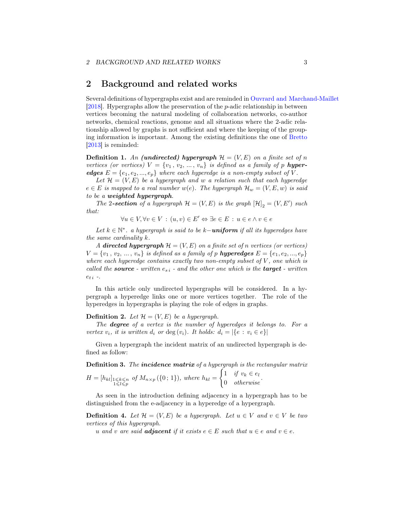## <span id="page-2-0"></span>2 Background and related works

Several definitions of hypergraphs exist and are reminded in [Ouvrard and Marchand-Maillet](#page-33-1) [\[2018\]](#page-33-1). Hypergraphs allow the preservation of the  $p$ -adic relationship in between vertices becoming the natural modeling of collaboration networks, co-author networks, chemical reactions, genome and all situations where the 2-adic relationship allowed by graphs is not sufficient and where the keeping of the grouping information is important. Among the existing definitions the one of [Bretto](#page-32-2) [\[2013\]](#page-32-2) is reminded:

**Definition 1.** An (undirected) hypergraph  $\mathcal{H} = (V, E)$  on a finite set of n vertices (or vertices)  $V = \{v_1, v_2, ..., v_n\}$  is defined as a family of p hyperedges  $E = \{e_1, e_2, ..., e_p\}$  where each hyperedge is a non-empty subset of V.

Let  $\mathcal{H} = (V, E)$  be a hypergraph and w a relation such that each hyperedge  $e \in E$  is mapped to a real number  $w(e)$ . The hypergraph  $\mathcal{H}_w = (V, E, w)$  is said to be a weighted hypergraph.

The 2-section of a hypergraph  $\mathcal{H} = (V, E)$  is the graph  $[\mathcal{H}]_2 = (V, E')$  such that:

 $\forall u \in V, \forall v \in V : (u, v) \in E' \Leftrightarrow \exists e \in E : u \in e \land v \in e$ 

Let  $k \in \mathbb{N}^*$ . a hypergraph is said to be  $k$ **-uniform** if all its hyperedges have the same cardinality k.

A **directed hypergraph**  $\mathcal{H} = (V, E)$  on a finite set of n vertices (or vertices)  $V = \{v_1, v_2, ..., v_n\}$  is defined as a family of p **hyperedges**  $E = \{e_1, e_2, ..., e_p\}$ where each hyperedge contains exactly two non-empty subset of  $V$ , one which is called the **source** - written  $e_{si}$  - and the other one which is the **target** - written  $e_{t i}$  -.

In this article only undirected hypergraphs will be considered. In a hypergraph a hyperedge links one or more vertices together. The role of the hyperedges in hypergraphs is playing the role of edges in graphs.

**Definition 2.** Let  $\mathcal{H} = (V, E)$  be a hypergraph.

The degree of a vertex is the number of hyperedges it belongs to. For a vertex  $v_i$ , it is written  $d_i$  or  $\deg(v_i)$ . It holds:  $d_i = |\{e : v_i \in e\}|$ 

Given a hypergraph the incident matrix of an undirected hypergraph is defined as follow:

**Definition 3.** The incidence matrix of a hypergraph is the rectangular matrix  $\int 1 \, \int_0^1 v_k \in e_l$ 

$$
H = [h_{kl}]_{\substack{1 \leq k \leq n \\ 1 \leq l \leq p}} \text{ of } M_{n \times p}(\{0; 1\}), \text{ where } h_{kl} = \begin{cases} 1 & \text{if } l \leq l \\ 0 & \text{otherwise} \end{cases}.
$$

As seen in the introduction defining adjacency in a hypergraph has to be distinguished from the e-adjacency in a hyperedge of a hypergraph.

**Definition 4.** Let  $\mathcal{H} = (V, E)$  be a hypergraph. Let  $u \in V$  and  $v \in V$  be two vertices of this hypergraph.

u and v are said **adjacent** if it exists  $e \in E$  such that  $u \in e$  and  $v \in e$ .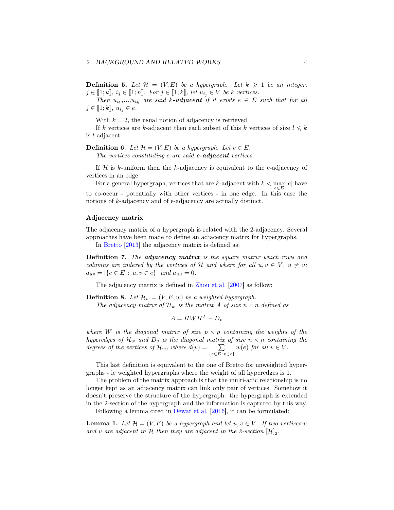**Definition 5.** Let  $\mathcal{H} = (V, E)$  be a hypergraph. Let  $k \geq 1$  be an integer,  $j \in [\![1; k]\!], i_j \in [\![1; n]\!].$  For  $j \in [\![1; k]\!],$  let  $u_{i_j} \in V$  be k vertices.

Then  $u_{i_1},...,u_{i_k}$  are said k-**adjacent** if it exists  $e \in E$  such that for all  $j \in [\![1; k]\!], u_{i_j} \in e.$ 

With  $k = 2$ , the usual notion of adjacency is retrieved.

If k vertices are k-adjacent then each subset of this k vertices of size  $l \leq k$ is l-adjacent.

**Definition 6.** Let  $\mathcal{H} = (V, E)$  be a hypergraph. Let  $e \in E$ .

The vertices constituting  $e$  are said  $e$ -adjacent vertices.

If  $H$  is k-uniform then the k-adjacency is equivalent to the e-adjacency of vertices in an edge.

For a general hypergraph, vertices that are *k*-adjacent with  $k < \max_{e \in E} |e|$  have to co-occur - potentially with other vertices - in one edge. In this case the notions of k-adjacency and of e-adjacency are actually distinct.

#### Adjacency matrix

The adjacency matrix of a hypergraph is related with the 2-adjacency. Several approaches have been made to define an adjacency matrix for hypergraphs.

In [Bretto](#page-32-2) [\[2013\]](#page-32-2) the adjacency matrix is defined as:

**Definition 7.** The **adjacency matrix** is the square matrix which rows and columns are indexed by the vertices of H and where for all  $u, v \in V$ ,  $u \neq v$ :  $a_{uv} = |\{e \in E : u, v \in e\}|$  and  $a_{uu} = 0$ .

The adjacency matrix is defined in [Zhou et al.](#page-33-2) [\[2007](#page-33-2)] as follow:

**Definition 8.** Let  $\mathcal{H}_w = (V, E, w)$  be a weighted hypergraph.

The adjacency matrix of  $\mathcal{H}_w$  is the matrix A of size  $n \times n$  defined as

$$
A = HWH^T - D_v
$$

where W is the diagonal matrix of size  $p \times p$  containing the weights of the hyperedges of  $\mathcal{H}_w$  and  $D_v$  is the diagonal matrix of size  $n \times n$  containing the degrees of the vertices of  $\mathcal{H}_w$ , where  $d(v) = \sum$  $\{e \in E : v \in e\}$  $w(e)$  for all  $v \in V$ .

This last definition is equivalent to the one of Bretto for unweighted hypergraphs - ie weighted hypergraphs where the weight of all hyperedges is 1.

The problem of the matrix approach is that the multi-adic relationship is no longer kept as an adjacency matrix can link only pair of vertices. Somehow it doesn't preserve the structure of the hypergraph: the hypergraph is extended in the 2-section of the hypergraph and the information is captured by this way.

Following a lemma cited in [Dewar et al.](#page-33-3) [\[2016](#page-33-3)], it can be formulated:

**Lemma 1.** Let  $\mathcal{H} = (V, E)$  be a hypergraph and let  $u, v \in V$ . If two vertices u and v are adjacent in H then they are adjacent in the 2-section  $[\mathcal{H}]_2$ .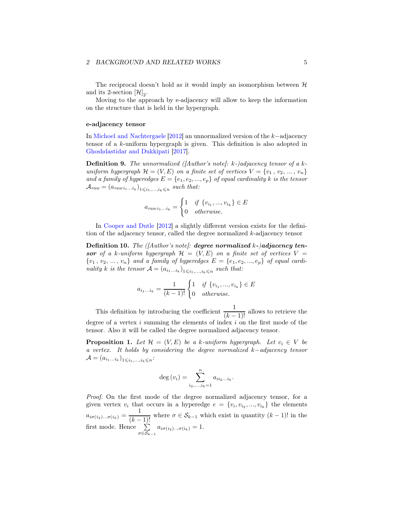The reciprocal doesn't hold as it would imply an isomorphism between  $H$ and its 2-section  $[\mathcal{H}]_2$ .

Moving to the approach by e-adjacency will allow to keep the information on the structure that is held in the hypergraph.

#### e-adjacency tensor

In [Michoel and Nachtergaele](#page-33-4) [\[2012\]](#page-33-4) an unnormalized version of the k−adjacency tensor of a k-uniform hypergraph is given. This definition is also adopted in [Ghoshdastidar and Dukkipati](#page-33-5) [\[2017\]](#page-33-5).

**Definition 9.** The unnormalized ( $[Author's note]: k$ -)adjacency tensor of a kuniform hypergraph  $\mathcal{H} = (V, E)$  on a finite set of vertices  $V = \{v_1, v_2, ..., v_n\}$ and a family of hyperedges  $E = \{e_1, e_2, ..., e_p\}$  of equal cardinality k is the tensor  $\mathcal{A}_{raw} = (a_{raw i_1...i_k})_{1 \leqslant i_1,...,i_k \leqslant n}$  such that:

$$
a_{raw i_1...i_k} = \begin{cases} 1 & \text{if } \{v_{i_1},...,v_{i_k}\} \in E \\ 0 & otherwise. \end{cases}
$$

In [Cooper and Dutle](#page-33-6) [\[2012](#page-33-6)] a slightly different version exists for the definition of the adjacency tensor, called the degree normalized k-adjacency tensor

**Definition 10.** The ([Author's note]: degree normalized  $k$ -)adjacency tensor of a k-uniform hypergraph  $\mathcal{H} = (V, E)$  on a finite set of vertices  $V =$  ${v_1, v_2, ..., v_n}$  and a family of hyperedges  $E = {e_1, e_2, ..., e_p}$  of equal cardinality k is the tensor  $A = (a_{i_1...i_k})_{1 \leq i_1,...,i_k \leq n}$  such that:

$$
a_{i_1...i_k} = \frac{1}{(k-1)!} \begin{cases} 1 & \text{if } \{v_{i_1}, ..., v_{i_k}\} \in E \\ 0 & \text{otherwise.} \end{cases}
$$

This definition by introducing the coefficient  $\frac{1}{(k-1)!}$  allows to retrieve the degree of a vertex  $i$  summing the elements of index  $i$  on the first mode of the tensor. Also it will be called the degree normalized adjacency tensor.

**Proposition 1.** Let  $\mathcal{H} = (V, E)$  be a k-uniform hypergraph. Let  $v_i \in V$  be a vertex. It holds by considering the degree normalized k−adjacency tensor  $\mathcal{A} = (a_{i_1...i_k})_{1 \leqslant i_1,...,i_k \leqslant n}$ 

$$
\deg(v_i) = \sum_{i_2,\dots,i_k=1}^n a_{ii_2\dots i_k}.
$$

Proof. On the first mode of the degree normalized adjacency tensor, for a given vertex  $v_i$  that occurs in a hyperedge  $e = \{v_i, v_{i_2}, ..., v_{i_k}\}\$  the elements  $a_{i\sigma(i_2)\dots\sigma(i_k)} = \frac{1}{(k-1)!}$  where  $\sigma \in \mathcal{S}_{k-1}$  which exist in quantity  $(k-1)!$  in the first mode. Hence  $\sum$  $\sum_{\sigma \in S_{k-1}} a_{i\sigma(i_2)\dots\sigma(i_k)} = 1.$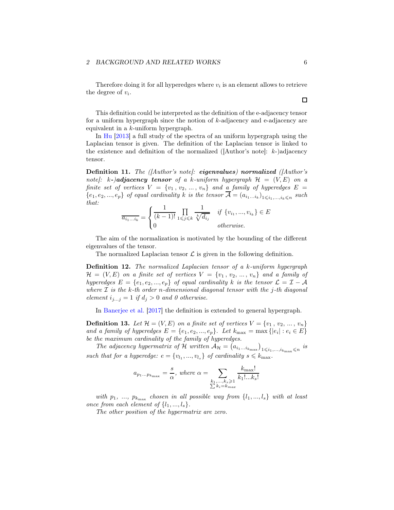Therefore doing it for all hyperedges where  $v_i$  is an element allows to retrieve the degree of  $v_i$ .

This definition could be interpreted as the definition of the e-adjacency tensor for a uniform hypergraph since the notion of k-adjacency and e-adjacency are equivalent in a k-uniform hypergraph.

In [Hu](#page-33-7) [\[2013](#page-33-7)] a full study of the spectra of an uniform hypergraph using the Laplacian tensor is given. The definition of the Laplacian tensor is linked to the existence and definition of the normalized ( $[Author's note]: k$ -)adjacency tensor.

Definition 11. The (*[Author's note]*: eigenvalues) normalized (*[Author's* note]: k-)adjacency tensor of a k-uniform hypergraph  $\mathcal{H} = (V, E)$  on a finite set of vertices  $V = \{v_1, v_2, ..., v_n\}$  and a family of hyperedges  $E =$  $\{e_1, e_2, ..., e_p\}$  of equal cardinality k is the tensor  $\mathcal{A} = (a_{i_1...i_k})_{1 \leq i_1,...,i_k \leq n}$  such that:

$$
\overline{a_{i_1...i_k}} = \begin{cases} \frac{1}{(k-1)!} \prod_{1 \leq j \leq k} \frac{1}{\sqrt[k]{d_{i_j}}} & \text{if } \{v_{i_1}, ..., v_{i_k}\} \in E \\ 0 & \text{otherwise.} \end{cases}
$$

The aim of the normalization is motivated by the bounding of the different eigenvalues of the tensor.

The normalized Laplacian tensor  $\mathcal L$  is given in the following definition.

Definition 12. The normalized Laplacian tensor of a k-uniform hypergraph  $\mathcal{H} = (V, E)$  on a finite set of vertices  $V = \{v_1, v_2, ..., v_n\}$  and a family of hyperedges  $E = \{e_1, e_2, ..., e_p\}$  of equal cardinality k is the tensor  $\mathcal{L} = \mathcal{I} - \mathcal{A}$ where  $\mathcal I$  is the k-th order n-dimensional diagonal tensor with the j-th diagonal element  $i_{j...j} = 1$  if  $d_j > 0$  and 0 otherwise.

In [Banerjee et al.](#page-32-3) [\[2017\]](#page-32-3) the definition is extended to general hypergraph.

**Definition 13.** Let  $\mathcal{H} = (V, E)$  on a finite set of vertices  $V = \{v_1, v_2, ..., v_n\}$ and a family of hyperedges  $E = \{e_1, e_2, ..., e_p\}$ . Let  $k_{\text{max}} = \max \{|e_i| : e_i \in E\}$ be the maximum cardinality of the family of hyperedges.

The adjacency hypermatrix of H written  $\mathcal{A}_{\mathcal{H}} = (a_{i_1...i_{k_{\text{max}}}})_{1 \leq i_1,...,i_{k_{\text{max}}} \leq n}$  is such that for a hyperedge:  $e = \{v_{l_1}, ..., v_{l_s}\}\$  of cardinality  $s \leq k_{\text{max}}$ .

$$
a_{p_1...p_{k_{\max}}} = \frac{s}{\alpha}, \text{ where } \alpha = \sum_{\substack{k_1,...,k_s \geqslant 1 \\ \sum k_i = k_{max}}} \frac{k_{\max}!}{k_1!...k_s!}
$$

with  $p_1, \ldots, p_{k_{\text{max}}}$  chosen in all possible way from  $\{l_1, \ldots, l_s\}$  with at least once from each element of  $\{l_1, ..., l_s\}$ .

The other position of the hypermatrix are zero.

## $\Box$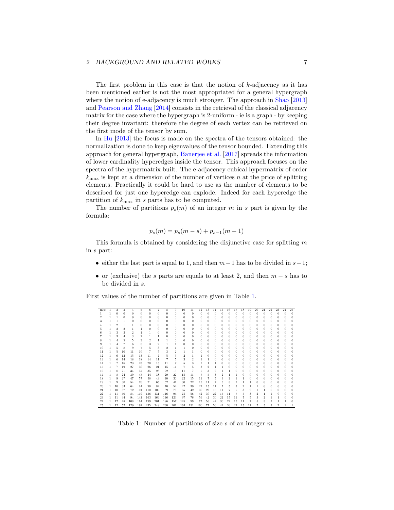The first problem in this case is that the notion of  $k$ -adjacency as it has been mentioned earlier is not the most appropriated for a general hypergraph where the notion of e-adjacency is much stronger. The approach in [Shao](#page-33-8) [\[2013\]](#page-33-8) and [Pearson and Zhang](#page-33-9) [\[2014](#page-33-9)] consists in the retrieval of the classical adjacency matrix for the case where the hypergraph is 2-uniform - ie is a graph - by keeping their degree invariant: therefore the degree of each vertex can be retrieved on the first mode of the tensor by sum.

In [Hu](#page-33-7) [\[2013\]](#page-33-7) the focus is made on the spectra of the tensors obtained: the normalization is done to keep eigenvalues of the tensor bounded. Extending this approach for general hypergraph, [Banerjee et al.](#page-32-3) [\[2017](#page-32-3)] spreads the information of lower cardinality hyperedges inside the tensor. This approach focuses on the spectra of the hypermatrix built. The e-adjacency cubical hypermatrix of order  $k_{\text{max}}$  is kept at a dimension of the number of vertices n at the price of splitting elements. Practically it could be hard to use as the number of elements to be described for just one hyperedge can explode. Indeed for each hyperedge the partition of  $k_{\text{max}}$  in s parts has to be computed.

The number of partitions  $p_s(m)$  of an integer m in s part is given by the formula:

$$
p_s(m) = p_s(m - s) + p_{s-1}(m - 1)
$$

This formula is obtained by considering the disjunctive case for splitting  $m$ in s part:

- either the last part is equal to 1, and then  $m-1$  has to be divided in  $s-1$ ;
- or (exclusive) the s parts are equals to at least 2, and then  $m s$  has to be divided in s.

First values of the number of partitions are given in Table [1.](#page-6-0)

| $m \ s$ | 1 | $\overline{2}$ | 3        | 4        | 5.  | 6   | 7              | 8                       | 9        | 10  | 11       | 12  | 13 | 14     | 15       | 16       | 17       | 18 | 19         | 20       | 21 | 22       | 23             | 24 | 25       |
|---------|---|----------------|----------|----------|-----|-----|----------------|-------------------------|----------|-----|----------|-----|----|--------|----------|----------|----------|----|------------|----------|----|----------|----------------|----|----------|
|         |   |                | $\Omega$ | $\Omega$ |     | 0   | 0              | 0                       | $\Omega$ | 0   | $\Omega$ | 0   | 0  | $^{0}$ | $\bf{0}$ | $\Omega$ | $\Omega$ | 0  | $\Omega$   | $\Omega$ | 0  | $\Omega$ | 0              |    | 0        |
| 2       |   |                | 0        | $\Omega$ | 0   | 0   | 0              | 0                       | $\Omega$ | 0   | 0        | 0   | 0  | 0      | 0        | 0        | 0        | 0  | o          | $\Omega$ | 0  | 0        | 0              |    | 0        |
|         |   |                |          | O        | 0   | 0   | n              | $\Omega$                | 0        | o   | 0        | 0   | o  | o      | o        |          | o        | o  | o          | $\Omega$ |    | o        | 0              |    | 0        |
|         |   | 2              |          |          | 0   | 0   | 0              | 0                       | $\theta$ | 0   | 0        | 0   | 0  | 0      | 0        |          | 0        | 0  |            | $\Omega$ |    | 0        | 0              |    | $\Omega$ |
|         |   | 2              | 2        |          |     | 0   | 0              | 0                       | $\theta$ | 0   | 0        | 0   | 0  | 0      |          |          |          | 0  |            | 0        |    |          | 0              |    | $\Omega$ |
|         |   | 3              | 3        | 2        |     |     | 0              | 0                       | 0        | 0   | 0        | 0   | 0  | 0      | 0        |          |          | 0  |            | $\Omega$ |    | 0        | 0              |    | 0        |
|         |   | 3              |          |          | 2   |     |                | 0                       | 0        |     | 0        | n   |    | 0      | 0        |          |          | 0  |            | 0        |    |          | 0              |    | 0        |
|         |   |                | 5        | 5        | 3   | 2   |                |                         | 0        |     | 0        | 0   | o  | 0      | 0        |          |          | 0  |            | $^{0}$   |    | o        | 0              |    | 0        |
| 9       |   | 4              |          | 6        | 5   | 3   | $\overline{2}$ |                         |          | 0   | 0        | 0   | 0  | 0      | 0        | 0        | 0        | 0  | $^{\circ}$ | $^{0}$   |    | 0        | 0              |    | 0        |
| 10      |   |                | 8        | 9        |     | 5   | 3              | $\overline{\mathbf{2}}$ |          |     | 0        |     |    | 0      |          |          |          | 0  |            | 0        |    |          | 0              |    | 0        |
| 11      |   | 5              | 10       | 11       | 10  |     |                | 3                       | 2        |     |          | 0   |    | 0      | 0        |          | 0        | 0  |            | 0        |    | 0        | 0              |    | 0        |
| 12      |   | 6.             | 12       | 15       | 13  | 11  |                | 5                       | 3        | 2   |          |     |    | 0      | 0        |          |          | 0  |            | 0        |    | 0        | 0              |    | 0        |
| 13      |   | 6              | 14       | 18       | 18  | 14  | 11             |                         |          | 3   | 2        |     |    |        | 0        |          |          | 0  |            | 0        |    |          | 0              |    | 0        |
| 14      |   |                | 16       | 23       | 23  | 20  | 15             | 11                      |          |     | 3        | 2   |    |        | 0        | 0        | 0        | 0  | 0          | 0        | 0  | 0        | 0              |    | 0        |
| 15      |   |                | 19       | 27       | 30  | 26  | 21             | 15                      | 11       |     | 5        | 3   | 2  |        |          |          |          | 0  |            | 0        |    | o        | 0              |    | $\Omega$ |
| 16      |   | 8              | 21       | 34       | 37  | 35  | 28             | 22                      | 15       | 11  | 7        |     | 3  | 2      |          |          |          | 0  |            | 0        |    |          | 0              |    | 0        |
| 17      |   | 8              | 24       | 39       | 47  | 44  | 38             | 29                      | 22       | 15  | 11       |     |    | 3      | 2        |          |          |    |            | 0        |    | 0        | 0              |    | 0        |
| 18      |   | 9              | 27       | 47       | 57  | 58  | 49             | 40                      | 30       | 22  | 15       | 11  |    | 5      | 3        |          |          |    |            | 0        |    |          | 0              |    | 0        |
| 19      |   | q              | 30       | 54       | 70  | 71  | 65             | 52                      | 41       | 30  | 22       | 15  | 11 |        | 5        |          | 2        |    |            | 0        |    | 0        | 0              |    | 0        |
| 20      |   | 10             | 33       | 64       | 84  | 90  | 82             | 70                      | 54       | 42  | 30       | 22  | 15 | 11     |          |          | 3        | 2  |            |          |    |          | 0              |    | $^{0}$   |
| 21      |   | 10             | 37       | 72       | 101 | 110 | 105            | 89                      | 73       | 55  | 42       | 30  | 22 | 15     | 11       |          |          | 3  | 2          |          |    |          | 0              |    | 0        |
| 22      |   | 11             | 40       | 84       | 119 | 136 | 131            | 116                     | 94       | 75  | 56       | 42  | 30 | 22     | 15       | 11       |          | 5  | 3          | 2        |    |          | 0              |    |          |
| 23      |   | 11             | 44       | 94       | 141 | 163 | 164            | 146                     | 123      | 97  | 76       | 56  | 42 | 30     | 22       | 15       | 11       |    |            |          | 2  |          |                |    | 0        |
| 24      |   | 12             | 48       | 108      | 164 | 199 | 201            | 186                     | 157      | 128 | 99       | 77  | 56 | 42     | 30       | 22       | 15       | 11 |            |          | 3  | 2        |                |    | 0        |
| 25      | 1 | 12             | 52       | 120      | 192 | 235 | 248            | 230                     | 201      | 164 | 131      | 100 | 77 | 56     | 42       | 30       | 22       | 15 | 11         |          | 5. | 3        | $\overline{2}$ |    |          |

<span id="page-6-0"></span>Table 1: Number of partitions of size  $s$  of an integer  $m$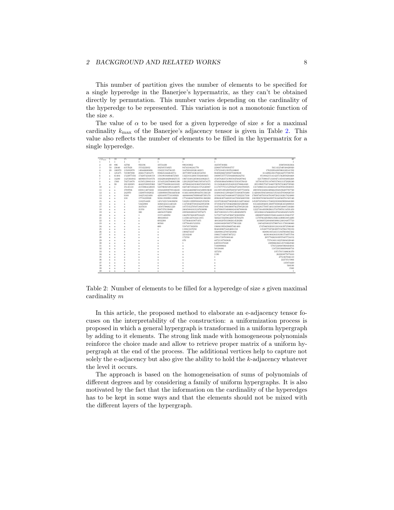This number of partition gives the number of elements to be specified for a single hyperedge in the Banerjee's hypermatrix, as they can't be obtained directly by permutation. This number varies depending on the cardinality of the hyperedge to be represented. This variation is not a monotonic function of the size s.

The value of  $\alpha$  to be used for a given hyperedge of size s for a maximal cardinality  $k_{\text{max}}$  of the Banerjee's adjacency tensor is given in Table [2.](#page-7-0) This value also reflects the number of elements to be filled in the hypermatrix for a single hyperedge.

| $s\backslash k_{\max}$ | 5            | 10           | 15           | 20             | 25                  | 30                        | 35                             | 40                                   |
|------------------------|--------------|--------------|--------------|----------------|---------------------|---------------------------|--------------------------------|--------------------------------------|
|                        |              | $\mathbf{1}$ | $\mathbf{1}$ | 1              | $\mathbf{1}$        | 1.                        |                                |                                      |
| $\overline{2}$         | 30           | 896          | 32766        | 956196         | 33554430            | 996183062                 | 34359738366                    | 1030588363364                        |
| 3                      | 50           | 23640        | 6357626      | 1553222032     | 382505554925        | 94743186241770            | 22960759799383757              | 5611412540548420920                  |
| $\Delta$               | 20           | 100970       | 135650970    | 149440600896   | 158221556736195     | 164769169326140215        | 170721045139376180665          | 176232934305968169141592             |
| 5                      | $\mathbf{1}$ | 195475       | 745907890    | 2826175201275  | 9506452442642751    | 30773997163632534765      | 98200286674992772689630        | 311409618017926342757598795          |
| 6                      | $\mathbf x$  | 61404        | 1522977456   | 17420742448158 | 158199194804672560  | 1322183126915502403463    | 10690725777258446036242741     | 85180421514142371562050204468        |
|                        | $\mathbf x$  | 14280        | 1425364941   | 46096037018576 | 1024206402004025515 | 19673349126500416962615   | 354878263731993584768297882    | 6217590037131694711658104802268      |
| $\mathbf{\hat{x}}$     | $\mathbf{x}$ | 1500         | 702714870    | 61505129881418 | 3154352367940801390 | 129129229794015955874175  | 4769303064589903155918576810   | 167503457011878955780131372020240    |
| 9                      | $\mathbf x$  | 90           | 201328985    | 46422598935960 | 5267776889834101885 | 437004824231068745652585  | 31134364616525428333788664160  | 2051990575671846572076732402739560   |
| 10                     | $\mathbf{x}$ | $\mathbf{1}$ | 35145110     | 21559064120035 | 5237969253953146975 | 848748719343315752120887  | 111787775515270562752918708505 | 13174986533143342163734795019830855  |
| 11                     | $\mathbf{x}$ | $\mathbf x$  | 3709706      | 6508114071602  | 3332426908789146245 | 1023444669605845490919630 | 241305539520076885874877723856 | 49059583248616094623568196287767720  |
| 12                     | $\mathbf{x}$ | $\bf x$      | 242970       | 1320978392032  | 1430090837664465640 | 814611609439944701336120  | 334883841129942857103836783480 | 114204835945488341535343378586826510 |
| 13                     | $\mathbf{x}$ | $\bf x$      | 9100         | 184253421690   | 429168957710189920  | 448888886709990497395170  | 315061943784480485752922317100 | 176097407919167018972821102617824800 |
| 14                     | $\mathbf{x}$ | $\mathbf x$  | 210          | 17758229920    | 92361393090110900   | 177434686702809581360280  | 209636307340035341769456805590 | 188390878586504393731248560781565540 |
| 15                     | $\mathbf{x}$ | $\mathbf x$  | $\mathbf{1}$ | 1182354420     | 14515221518630650   | 51629112999502425355050   | 101972261667580282621340734042 | 145207225656117240323230829098848300 |
| 16                     | $\mathbf{x}$ | $\bf x$      | $\bf{x}$     | 53422908       | 1686842411440120    | 11274940758810423952590   | 37193647457294620660325206920  | 83124043946911069759380261652009018  |
| 17                     | $\mathbf{x}$ | $\bf x$      | $\bf{x}$     | 1637610        | 145857986021220     | 1875745279587180337830    | 10373941738039097562798529130  | 36202281770971401316508548887148260  |
| 18                     | $\mathbf{x}$ | $\bf x$      | $\bf{x}$     | 31350          | 9387370139400       | 240458041631247630090     | 2247098355408068243367808830   | 12227164493902961371079076114591450  |
| 19                     | $\mathbf{x}$ | $\bf x$      | $\bf{x}$     | 380            | 446563570200        | 23950282001673975675      | 382710033315178514982029070    | 3252386812566620163782349432515670   |
| 20                     | $\mathbf{x}$ | $\bf x$      | $\mathbf{x}$ | 1              | 15571428950         | 1862767268307916425       | 51758773473472067323039950     | 690009783002559481444810135863737    |
| 21                     | $\mathbf{x}$ | $\bf x$      | $\bf{x}$     | $\bf x$        | 390169010           | 113301447816411855        | 5602215923984438576703270      | 117978632939681392614390018854490    |
| 22                     | $\mathbf{x}$ | $\bf x$      | $\mathbf{x}$ | $\bf{x}$       | 6932200             | 5375646410875455          | 488160287033902614520290       | 16396955289494938961248184877710     |
| 23                     | $\mathbf{x}$ | $\bf x$      | $\bf{x}$     | $\bf{x}$       | 80500               | 197788491523350           | 34380160285907377001220        | 1865425003253790074111730106860      |
| 24                     | $\mathbf{x}$ | $\mathbf x$  | $\bf{x}$     | $\bf{x}$       | 600                 | 5587457302050             | 1960619958296697461400         | 174704650201012418163972506640       |
| 25                     | $\mathbf{x}$ | $\bf x$      | $\mathbf{x}$ | $\bf{x}$       | 1                   | 119813107050              | 90483896754284001150           | 13528775872638975527061789150        |
| 26                     | $\mathbf{x}$ | $\bf x$      | $\bf{x}$     | $\bf{x}$       | $\bf{x}$            | 1909271637                | 3368998127887283892            | 868981935345151947003947262          |
| 27                     | $\mathbf{x}$ | $\mathbf x$  | $\bf{x}$     | $\bf{x}$       | $\bf{x}$            | 22143240                  | 100617182607307212             | 46381804383191991754075704           |
| 28                     | $\mathbf{x}$ | $\mathbf x$  | $\bf{x}$     | $\bf{x}$       | $\bf{x}$            | 172550                    | 2391172870380140               | 2057782621039570457724152            |
| 29                     | $\mathbf{x}$ | $\bf x$      | $\bf{x}$     | $\bf{x}$       | $\bf{x}$            | 870                       | 44721107569820                 | 75781801182259804328840              |
| 30                     | $\mathbf{x}$ | $\mathbf x$  | $\bf{x}$     | $\bf{x}$       | $\bf{x}$            | 1                         | 649591878320                   | 2309066362145733662940               |
| 31                     | $\mathbf{x}$ | $\mathbf x$  | $\bf{x}$     | $\bf{x}$       | $\bf{x}$            | $\mathbf x$               | 7166900664                     | 57915248685968404016                 |
| 32                     | $\mathbf{x}$ | $\mathbf x$  | $\bf{x}$     | $\bf{x}$       | $\bf{x}$            | $\bf{x}$                  | 58538480                       | 1187293166698640716                  |
| 33                     | $\mathbf{x}$ | $\mathbf x$  | $\mathbf{x}$ | $\bf{x}$       | $\bf{x}$            | $\bar{x}$                 | 327250                         | 19717915340636370                    |
| 34                     | $\mathbf{x}$ | $\mathbf x$  | $\bf{x}$     | $\bf{x}$       | $\bf{x}$            | $\mathbf x$               | 1190                           | 262203877675610                      |
| 35                     | $\mathbf{x}$ | $\mathbf x$  | $\bf{x}$     | $\bf{x}$       | $\bf{x}$            | $\mathbf x$               |                                | 2751867046110                        |
| 36                     | $\mathbf{x}$ | $\mathbf x$  | $\bf{x}$     | $\bf{x}$       | $\bf{x}$            | $\mathbf x$               | $\mathbf x$                    | 22273515966                          |
| 37                     | $\mathbf{x}$ | $\mathbf x$  | $\bf{x}$     | $\bf{x}$       | $\bf{x}$            | $\mathbf x$               | $\mathbf x$                    | 135074420                            |
| 38                     | $\bf{x}$     | $\mathbf x$  | $\bf{x}$     | $\bf{x}$       | $\bf{x}$            | x                         | $\mathbf x$                    | 568100                               |
| 39                     | $\mathbf{x}$ | $\bf x$      | $\bf{x}$     | $\bf{x}$       | $\bf{x}$            | x                         | $\mathbf x$                    | 1560                                 |
| 40                     | $\mathbf{x}$ | $\mathbf x$  | $\bf{x}$     | $\bf{x}$       | $\bf{x}$            | $\bf{x}$                  | $\bf x$                        | $\mathbf{1}$                         |

<span id="page-7-0"></span>Table 2: Number of elements to be filled for a hyperedge of size s given maximal cardinality m

In this article, the proposed method to elaborate an e-adjacency tensor focuses on the interpretability of the construction: a uniformization process is proposed in which a general hypergraph is transformed in a uniform hypergraph by adding to it elements. The strong link made with homogeneous polynomials reinforce the choice made and allow to retrieve proper matrix of a uniform hypergraph at the end of the process. The additional vertices help to capture not solely the e-adjacency but also give the ability to hold the k-adjacency whatever the level it occurs.

The approach is based on the homogeneisation of sums of polynomials of different degrees and by considering a family of uniform hypergraphs. It is also motivated by the fact that the information on the cardinality of the hyperedges has to be kept in some ways and that the elements should not be mixed with the different layers of the hypergraph.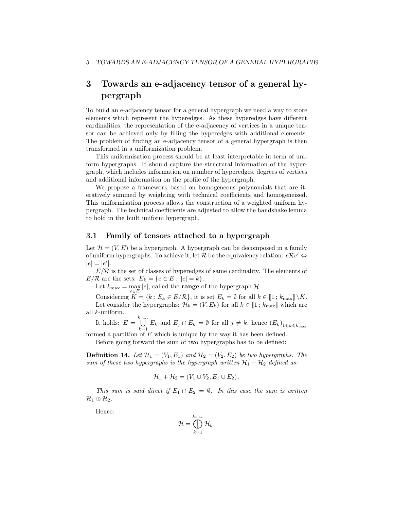## <span id="page-8-0"></span>3 Towards an e-adjacency tensor of a general hypergraph

To build an e-adjacency tensor for a general hypergraph we need a way to store elements which represent the hyperedges. As these hyperedges have different cardinalities, the representation of the e-adjacency of vertices in a unique tensor can be achieved only by filling the hyperedges with additional elements. The problem of finding an e-adjacency tensor of a general hypergraph is then transformed in a uniformization problem.

This uniformisation process should be at least interpretable in term of uniform hypergraphs. It should capture the structural information of the hypergraph, which includes information on number of hyperedges, degrees of vertices and additional information on the profile of the hypergraph.

We propose a framework based on homogeneous polynomials that are iteratively summed by weighting with technical coefficients and homogeneized. This uniformisation process allows the construction of a weighted uniform hypergraph. The technical coefficients are adjusted to allow the handshake lemma to hold in the built uniform hypergraph.

#### 3.1 Family of tensors attached to a hypergraph

Let  $\mathcal{H} = (V, E)$  be a hypergraph. A hypergraph can be decomposed in a family of uniform hypergraphs. To achieve it, let  $R$  be the equivalency relation:  $eRe' \Leftrightarrow$  $|e| = |e'|$ .

 $E/R$  is the set of classes of hyperedges of same cardinality. The elements of  $E/\mathcal{R}$  are the sets:  $E_k = \{e \in E : |e| = k\}.$ 

Let  $k_{\text{max}} = \max_{e \in E} |e|$ , called the **range** of the hypergraph  $\mathcal{H}$ 

Considering  $K = \{k : E_k \in E/\mathcal{R}\}$ , it is set  $E_k = \emptyset$  for all  $k \in [1 : k_{\max}] \setminus K$ . Let consider the hypergraphs:  $\mathcal{H}_k = (V, E_k)$  for all  $k \in [1; k_{\text{max}}]$  which are all k-uniform.

It holds:  $E = \bigcup^{k_{\text{max}}}$  $\bigcup_{k=1} E_k$  and  $E_j \cap E_k = \emptyset$  for all  $j \neq k$ , hence  $(E_k)_{1 \leq k \leq k_{\text{max}}}$ 

formed a partition of E which is unique by the way it has been defined. Before going forward the sum of two hypergraphs has to be defined:

**Definition 14.** Let  $\mathcal{H}_1 = (V_1, E_1)$  and  $\mathcal{H}_2 = (V_2, E_2)$  be two hypergraphs. The sum of these two hypergraphs is the hypergraph written  $\mathcal{H}_1 + \mathcal{H}_2$  defined as:

$$
\mathcal{H}_1+\mathcal{H}_2=(V_1\cup V_2,E_1\cup E_2).
$$

This sum is said direct if  $E_1 \cap E_2 = \emptyset$ . In this case the sum is written  $\mathcal{H}_1\oplus\mathcal{H}_2.$ 

Hence:

$$
\mathcal{H} = \bigoplus_{k=1}^{k_{\max}} \mathcal{H}_k.
$$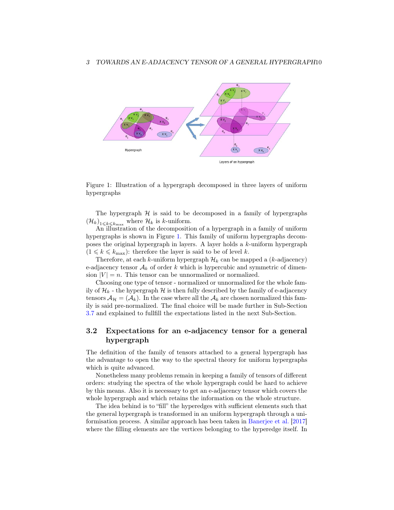

<span id="page-9-0"></span>Figure 1: Illustration of a hypergraph decomposed in three layers of uniform hypergraphs

The hypergraph  $H$  is said to be decomposed in a family of hypergraphs  $(\mathcal{H}_k)_{1\leqslant k\leqslant k_{\text{max}}}$  where  $\mathcal{H}_k$  is k-uniform.

An illustration of the decomposition of a hypergraph in a family of uniform hypergraphs is shown in Figure [1.](#page-9-0) This family of uniform hypergraphs decomposes the original hypergraph in layers. A layer holds a k-uniform hypergraph  $(1 \leq k \leq k_{\text{max}})$ : therefore the layer is said to be of level k.

Therefore, at each k-uniform hypergraph  $\mathcal{H}_k$  can be mapped a (k-adjacency) e-adjacency tensor  $A_k$  of order k which is hypercubic and symmetric of dimension  $|V| = n$ . This tensor can be unnormalized or normalized.

Choosing one type of tensor - normalized or unnormalized for the whole family of  $\mathcal{H}_k$  - the hypergraph  $\mathcal H$  is then fully described by the family of e-adjacency tensors  $A_{\mathcal{H}} = (A_k)$ . In the case where all the  $A_k$  are chosen normalized this family is said pre-normalized. The final choice will be made further in Sub-Section [3.7](#page-21-0) and explained to fullfill the expectations listed in the next Sub-Section.

## <span id="page-9-1"></span>3.2 Expectations for an e-adjacency tensor for a general hypergraph

The definition of the family of tensors attached to a general hypergraph has the advantage to open the way to the spectral theory for uniform hypergraphs which is quite advanced.

Nonetheless many problems remain in keeping a family of tensors of different orders: studying the spectra of the whole hypergraph could be hard to achieve by this means. Also it is necessary to get an e-adjacency tensor which covers the whole hypergraph and which retains the information on the whole structure.

The idea behind is to "fill" the hyperedges with sufficient elements such that the general hypergraph is transformed in an uniform hypergraph through a uniformisation process. A similar approach has been taken in [Banerjee et al.](#page-32-3) [\[2017\]](#page-32-3) where the filling elements are the vertices belonging to the hyperedge itself. In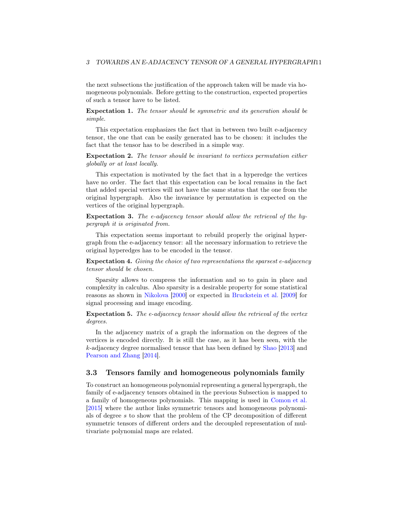the next subsections the justification of the approach taken will be made via homogeneous polynomials. Before getting to the construction, expected properties of such a tensor have to be listed.

Expectation 1. The tensor should be symmetric and its generation should be simple.

This expectation emphasizes the fact that in between two built e-adjacency tensor, the one that can be easily generated has to be chosen: it includes the fact that the tensor has to be described in a simple way.

Expectation 2. The tensor should be invariant to vertices permutation either globally or at least locally.

This expectation is motivated by the fact that in a hyperedge the vertices have no order. The fact that this expectation can be local remains in the fact that added special vertices will not have the same status that the one from the original hypergraph. Also the invariance by permutation is expected on the vertices of the original hypergraph.

Expectation 3. The e-adjacency tensor should allow the retrieval of the hypergraph it is originated from.

This expectation seems important to rebuild properly the original hypergraph from the e-adjacency tensor: all the necessary information to retrieve the original hyperedges has to be encoded in the tensor.

Expectation 4. Giving the choice of two representations the sparsest e-adjacency tensor should be chosen.

Sparsity allows to compress the information and so to gain in place and complexity in calculus. Also sparsity is a desirable property for some statistical reasons as shown in [Nikolova](#page-33-10) [\[2000](#page-33-10)] or expected in [Bruckstein et al.](#page-32-4) [\[2009](#page-32-4)] for signal processing and image encoding.

Expectation 5. The e-adjacency tensor should allow the retrieval of the vertex degrees.

In the adjacency matrix of a graph the information on the degrees of the vertices is encoded directly. It is still the case, as it has been seen, with the k-adjacency degree normalised tensor that has been defined by [Shao](#page-33-8) [\[2013\]](#page-33-8) and [Pearson and Zhang](#page-33-9) [\[2014\]](#page-33-9).

#### 3.3 Tensors family and homogeneous polynomials family

To construct an homogeneous polynomial representing a general hypergraph, the family of e-adjacency tensors obtained in the previous Subsection is mapped to a family of homogeneous polynomials. This mapping is used in [Comon et al.](#page-32-5) [\[2015\]](#page-32-5) where the author links symmetric tensors and homogeneous polynomials of degree s to show that the problem of the CP decomposition of different symmetric tensors of different orders and the decoupled representation of multivariate polynomial maps are related.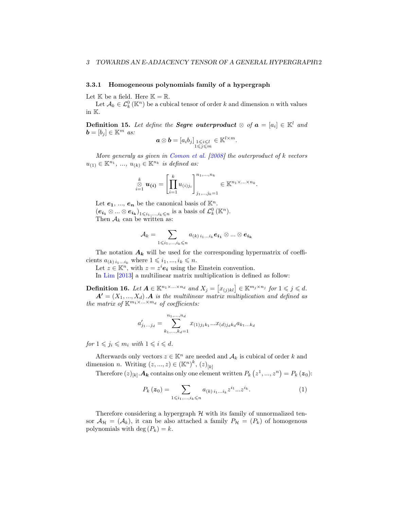#### 3.3.1 Homogeneous polynomials family of a hypergraph

Let  $\mathbb K$  be a field. Here  $\mathbb K = \mathbb R$ .

Let  $A_k \in \mathcal{L}_k^0(\mathbb{K}^n)$  be a cubical tensor of order k and dimension n with values in K.

**Definition 15.** Let define the **Segre outerproduct**  $\otimes$  of  $a = [a_i] \in \mathbb{K}^l$  and  $\mathbf{b} = [b_i] \in \mathbb{K}^m$  as:

$$
\boldsymbol{a} \otimes \boldsymbol{b} = [a_i b_j]_{\substack{1 \leq i \leq l \\ 1 \leq j \leq m}} \in \mathbb{K}^{l \times m}.
$$

More generaly as given in [Comon et al.](#page-32-6)  $[2008]$  the outerproduct of k vectors  $u_{(1)} \in \mathbb{K}^{n_1}, \dots, u_{(k)} \in \mathbb{K}^{n_k}$  is defined as:

$$
\underset{i=1}{\overset{k}{\otimes}}\mathbf{u}(i)=\left[\prod_{i=1}^k u_{(i)j_i}\right]_{j_1,\ldots,j_k=1}^{n_1,\ldots,n_k}\in\mathbb{K}^{n_1\times\ldots\times n_k}.
$$

Let  $e_1, ..., e_n$  be the canonical basis of  $\mathbb{K}^n$ .  $(e_{i_1} \otimes ... \otimes e_{i_k})_{1 \leq i_1,...,i_k \leq n}$  is a basis of  $\mathcal{L}_k^0(\mathbb{K}^n)$ . Then  $A_k$  can be written as:

$$
\mathcal{A}_k = \sum_{1 \leqslant i_1, \ldots, i_k \leqslant n} a_{(k) \, i_1 \ldots i_k} \bm{e_{i_1}} \otimes ... \otimes \bm{e_{i_k}}
$$

The notation  $A_k$  will be used for the corresponding hypermatrix of coefficients  $a_{(k) i_1...i_k}$  where  $1 \leq i_1, ..., i_k \leq n$ .

Let  $z \in \mathbb{K}^n$ , with  $z = z^i \mathbf{e_i}$  using the Einstein convention.

In [Lim](#page-33-11) [\[2013\]](#page-33-11) a multilinear matrix multiplication is defined as follow:

**Definition 16.** Let  $A \in \mathbb{K}^{n_1 \times \ldots \times n_d}$  and  $X_j = [x_{(j)kl}] \in \mathbb{K}^{m_j \times n_j}$  for  $1 \leq j \leq d$ .  $A' = (X_1, ..., X_d)$ . A is the multilinear matrix multiplication and defined as the matrix of  $\mathbb{K}^{m_1 \times \ldots \times m_d}$  of coefficients:

$$
a'_{j_1...j_d} = \sum_{k_1,...,k_d=1}^{n_1,...,n_d} x_{(1)j_1k_1}...x_{(d)j_dk_d}a_{k_1...k_d}
$$

for  $1 \leq j_i \leq m_i$  with  $1 \leq i \leq d$ .

Afterwards only vectors  $z \in \mathbb{K}^n$  are needed and  $\mathcal{A}_k$  is cubical of order k and dimension *n*. Writing  $(z, ..., z) \in (\mathbb{K}^n)^k$ ,  $(z)_{[k]}$ 

Therefore  $(z)_{[k]}$ .  $A_k$  contains only one element written  $P_k(z^1, ..., z^n) = P_k(z_0)$ :

$$
P_k(z_0) = \sum_{1 \leq i_1, \dots, i_k \leq n} a_{(k) i_1 \dots i_k} z^{i_1} \dots z^{i_k}.
$$
 (1)

Therefore considering a hypergraph  $\mathcal H$  with its family of unnormalized tensor  $\mathcal{A}_{\mathcal{H}} = (\mathcal{A}_k)$ , it can be also attached a family  $P_{\mathcal{H}} = (P_k)$  of homogenous polynomials with deg  $(P_k) = k$ .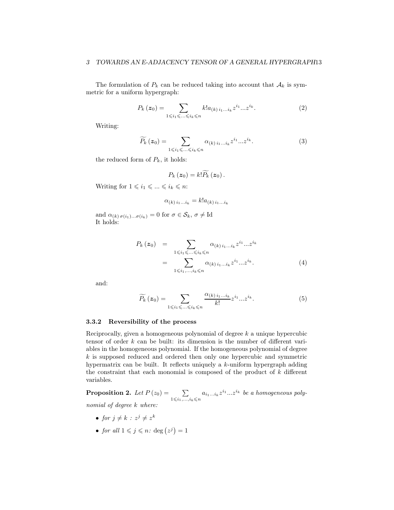The formulation of  $P_k$  can be reduced taking into account that  $A_k$  is symmetric for a uniform hypergraph:

$$
P_k(z_0) = \sum_{1 \leq i_1 \leq \ldots \leq i_k \leq n} k! a_{(k) i_1 \ldots i_k} z^{i_1} \ldots z^{i_k}.
$$
 (2)

Writing:

$$
\widetilde{P_k}\left(\boldsymbol{z}_0\right) = \sum_{1 \leqslant i_1 \leqslant \ldots \leqslant i_k \leqslant n} \alpha_{(k) \, i_1 \ldots i_k} z^{i_1} \ldots z^{i_k}.\tag{3}
$$

the reduced form of  $P_k$ , it holds:

$$
P_k(z_0)=k!\widetilde{P_k}(z_0).
$$

Writing for  $1 \leq i_1 \leq \ldots \leq i_k \leq n$ :

$$
\alpha_{(k) i_1 \dots i_k} = k! a_{(k) i_1 \dots i_k}
$$

and  $\alpha_{(k)\sigma(i_1)\dots\sigma(i_k)} = 0$  for  $\sigma \in \mathcal{S}_k$ ,  $\sigma \neq \text{Id}$ It holds:

$$
P_k(z_0) = \sum_{1 \leq i_1 \leq \ldots \leq i_k \leq n} \alpha_{(k) i_1 \ldots i_k} z^{i_1} \ldots z^{i_k}
$$
  
= 
$$
\sum_{1 \leq i_1, \ldots, i_k \leq n} \alpha_{(k) i_1 \ldots i_k} z^{i_1} \ldots z^{i_k}.
$$
 (4)

and:

$$
\widetilde{P_k}\left(\boldsymbol{z}_0\right) = \sum_{1 \leqslant i_1 \leqslant \ldots \leqslant i_k \leqslant n} \frac{\alpha_{(k)} i_1 \ldots i_k}{k!} z^{i_1} \ldots z^{i_k}.
$$
\n<sup>(5)</sup>

#### 3.3.2 Reversibility of the process

Reciprocally, given a homogeneous polynomial of degree  $k$  a unique hypercubic tensor of order k can be built: its dimension is the number of different variables in the homogeneous polynomial. If the homogeneous polynomial of degree  $k$  is supposed reduced and ordered then only one hypercubic and symmetric hypermatrix can be built. It reflects uniquely a k-uniform hypergraph adding the constraint that each monomial is composed of the product of  $k$  different variables.

**Proposition 2.** Let  $P(z_0) = \sum$  $\sum_{1 \leqslant i_1, \ldots, i_k \leqslant n} a_{i_1 \ldots i_k} z^{i_1} \ldots z^{i_k}$  be a homogeneous polynomial of degree k where:

- for  $j \neq k$  :  $z^j \neq z^k$
- for all  $1 \leqslant j \leqslant n$ : deg  $(z^j) = 1$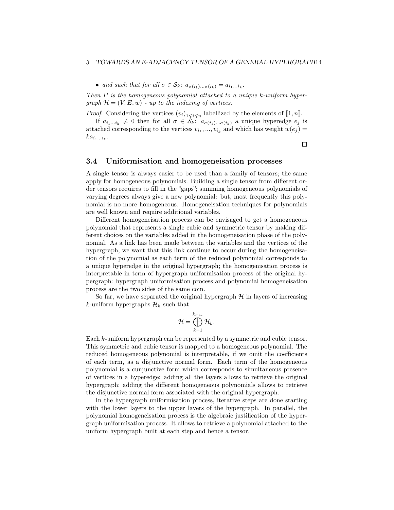• and such that for all  $\sigma \in \mathcal{S}_k$ :  $a_{\sigma(i_1)\dots\sigma(i_k)} = a_{i_1\dots i_k}$ .

Then  $P$  is the homogeneous polynomial attached to a unique k-uniform hypergraph  $\mathcal{H} = (V, E, w)$  - up to the indexing of vertices.

*Proof.* Considering the vertices  $(v_i)_{1 \leq i \leq n}$  labellized by the elements of  $[\![1, n]\!]$ .

If  $a_{i_1...i_k} \neq 0$  then for all  $\sigma \in \mathcal{S}_k$ :  $a_{\sigma(i_1)... \sigma(i_k)}$  a unique hyperedge  $e_j$  is attached corresponding to the vertices  $v_{i_1},..., v_{i_k}$  and which has weight  $w(e_j)$  =  $ka_{i_1...i_k}$ .

 $\Box$ 

#### 3.4 Uniformisation and homogeneisation processes

A single tensor is always easier to be used than a family of tensors; the same apply for homogeneous polynomials. Building a single tensor from different order tensors requires to fill in the "gaps"; summing homogeneous polynomials of varying degrees always give a new polynomial: but, most frequently this polynomial is no more homogeneous. Homogeneisation techniques for polynomials are well known and require additional variables.

Different homogeneisation process can be envisaged to get a homogeneous polynomial that represents a single cubic and symmetric tensor by making different choices on the variables added in the homogeneisation phase of the polynomial. As a link has been made between the variables and the vertices of the hypergraph, we want that this link continue to occur during the homogeneisation of the polynomial as each term of the reduced polynomial corresponds to a unique hyperedge in the original hypergraph; the homogenisation process is interpretable in term of hypergraph uniformisation process of the original hypergraph: hypergraph uniformisation process and polynomial homogeneisation process are the two sides of the same coin.

So far, we have separated the original hypergraph  $H$  in layers of increasing k-uniform hypergraphs  $\mathcal{H}_k$  such that

$$
\mathcal{H} = \bigoplus_{k=1}^{k_{\max}} \mathcal{H}_k.
$$

Each k-uniform hypergraph can be represented by a symmetric and cubic tensor. This symmetric and cubic tensor is mapped to a homogeneous polynomial. The reduced homogeneous polynomial is interpretable, if we omit the coefficients of each term, as a disjunctive normal form. Each term of the homogeneous polynomial is a cunjunctive form which corresponds to simultaneous presence of vertices in a hyperedge: adding all the layers allows to retrieve the original hypergraph; adding the different homogeneous polynomials allows to retrieve the disjunctive normal form associated with the original hypergraph.

In the hypergraph uniformisation process, iterative steps are done starting with the lower layers to the upper layers of the hypergraph. In parallel, the polynomial homogeneisation process is the algebraic justification of the hypergraph uniformisation process. It allows to retrieve a polynomial attached to the uniform hypergraph built at each step and hence a tensor.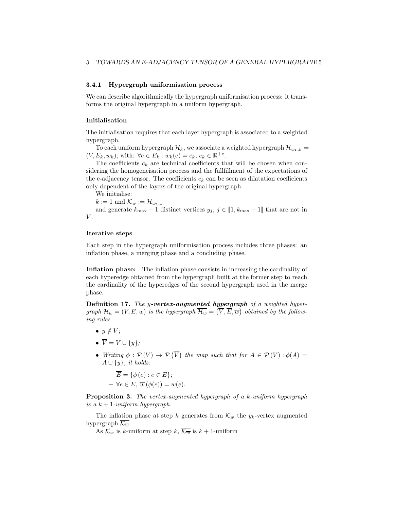#### 3.4.1 Hypergraph uniformisation process

We can describe algorithmically the hypergraph uniformisation process: it transforms the original hypergraph in a uniform hypergraph.

#### Initialisation

The initialisation requires that each layer hypergraph is associated to a weighted hypergraph.

To each uniform hypergraph  $\mathcal{H}_k$ , we associate a weighted hypergraph  $\mathcal{H}_{w_k,k}$  =  $(V, E_k, w_k)$ , with:  $\forall e \in E_k : w_k(e) = c_k, c_k \in \mathbb{R}^{+*}.$ 

The coefficients  $c_k$  are technical coefficients that will be chosen when considering the homogeneisation process and the fullfillment of the expectations of the e-adjacency tensor. The coefficients  $c_k$  can be seen as dilatation coefficients only dependent of the layers of the original hypergraph.

We initialise:

 $k := 1$  and  $\mathcal{K}_w := \mathcal{H}_{w_1,1}$ 

and generate  $k_{\text{max}} - 1$  distinct vertices  $y_j, j \in [1, k_{\text{max}} - 1]$  that are not in  $V$ .

#### Iterative steps

Each step in the hypergraph uniformisation process includes three phases: an inflation phase, a merging phase and a concluding phase.

Inflation phase: The inflation phase consists in increasing the cardinality of each hyperedge obtained from the hypergraph built at the former step to reach the cardinality of the hyperedges of the second hypergraph used in the merge phase.

Definition 17. The y-vertex-augmented hypergraph of a weighted hypergraph  $\mathcal{H}_w = (V, E, w)$  is the hypergraph  $\overline{\mathcal{H}_w} = (\overline{V}, \overline{E}, \overline{w})$  obtained by the following rules

- $y \notin V$ ;
- $\overline{V} = V \cup \{y\};$
- Writing  $\phi : \mathcal{P}(V) \to \mathcal{P}(\overline{V})$  the map such that for  $A \in \mathcal{P}(V) : \phi(A) =$  $A \cup \{y\}, \text{ it holds:}$

 $-\overline{E} = \{\phi(e) : e \in E\};$  $- \forall e \in E$ ,  $\overline{w}(\phi(e)) = w(e)$ .

Proposition 3. The vertex-augmented hypergraph of a k-uniform hypergraph is a  $k + 1$ -uniform hypergraph.

The inflation phase at step k generates from  $\mathcal{K}_w$  the  $y_k$ -vertex augmented hypergraph  $\overline{\mathcal{K}_{\overline{w}}}.$ 

As  $\mathcal{K}_w$  is k-uniform at step k,  $\overline{\mathcal{K}_w}$  is  $k+1$ -uniform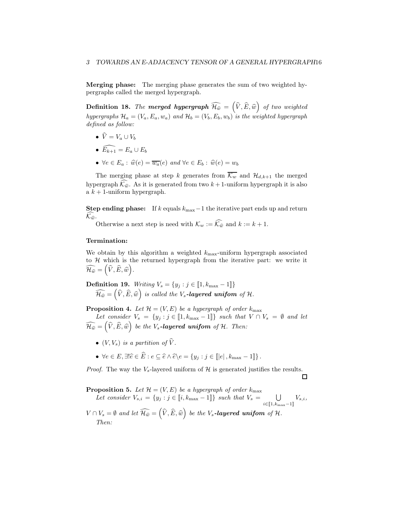Merging phase: The merging phase generates the sum of two weighted hypergraphs called the merged hypergraph.

**Definition 18.** The **merged hypergraph**  $\widehat{\mathcal{H}_{\hat{w}}} = (\widehat{V}, \widehat{E}, \widehat{w})$  of two weighted hypergraphs  $\mathcal{H}_a = (V_a, E_a, w_a)$  and  $\mathcal{H}_b = (V_b, E_b, w_b)$  is the weighted hypergraph defined as follow:

- $\widehat{V} = V_a \cup V_b$
- $\widehat{E_{k+1}} = E_a \cup E_b$
- $\forall e \in E_a : \hat{w}(e) = \overline{w_a}(e)$  and  $\forall e \in E_b : \hat{w}(e) = w_b$

The merging phase at step k generates from  $\overline{\mathcal{K}_w}$  and  $\mathcal{H}_{d,k+1}$  the merged hypergraph  $\widehat{\mathcal{K}_{\hat{w}}}$ . As it is generated from two  $k + 1$ -uniform hypergraph it is also a  $k + 1$ -uniform hypergraph.

Step ending phase: If k equals  $k_{\text{max}}-1$  the iterative part ends up and return  $\mathcal{K}_{\widehat{w}}$ .

Otherwise a next step is need with  $\mathcal{K}_w := \widehat{\mathcal{K}_{\widehat{w}}}$  and  $k := k + 1$ .

#### Termination:

We obtain by this algorithm a weighted  $k_{\text{max}}$ -uniform hypergraph associated to  $H$  which is the returned hypergraph from the iterative part: we write it  $\widehat{\mathcal{H}_{\widehat{w}}} = (\widehat{V}, \widehat{E}, \widehat{w})$ .

**Definition 19.** Writing 
$$
V_s = \{y_j : j \in [1, k_{\text{max}} - 1]\}
$$
  
 $\widehat{\mathcal{H}_{\hat{w}}} = (\widehat{V}, \widehat{E}, \widehat{w})$  is called the  $V_s$ -**layered uniform** of  $\mathcal{H}$ .

**Proposition 4.** Let  $\mathcal{H} = (V, E)$  be a hypergraph of order  $k_{\text{max}}$ 

Let consider  $V_s = \{y_j : j \in [1, k_{\max} - 1]\}$  such that  $V \cap V_s = \emptyset$  and let  $\widehat{\mathcal{H}_{\widehat{w}}} = (\widehat{V}, \widehat{E}, \widehat{w})$  be the V<sub>s</sub>-layered unifom of H. Then:

- $(V, V_s)$  is a partition of  $\widehat{V}$ .
- $\forall e \in E, \exists! \hat{e} \in \hat{E} : e \subseteq \hat{e} \land \hat{e} \backslash e = \{y_j : j \in [\|e|, k_{\max} 1]\}.$

*Proof.* The way the  $V_s$ -layered uniform of  $H$  is generated justifies the results.

口

 $V_{s,i},$ 

 $i \in \llbracket 1, k_{\max} - 1 \rrbracket$ 

**Proposition 5.** Let  $\mathcal{H} = (V, E)$  be a hypergraph of order  $k_{\text{max}}$ Let consider  $V_{s,i} = \{y_j : j \in [i, k_{\max} - 1]\}$  such that  $V_s = \bigcup$ 

 $V \cap V_s = \emptyset$  and let  $\widehat{\mathcal{H}_{\hat{w}}} = (\widehat{V}, \widehat{E}, \widehat{w})$  be the  $V_s$ -layered unifom of  $\mathcal{H}$ . Then: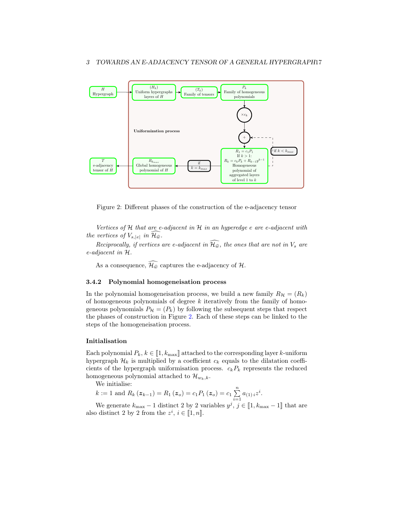

<span id="page-16-0"></span>Figure 2: Different phases of the construction of the e-adjacency tensor

Vertices of  $H$  that are e-adjacent in  $H$  in an hyperedge e are e-adjacent with the vertices of  $V_{s,|e|}$  in  $\mathcal{H}_{\widehat{w}}$ .

Reciprocally, if vertices are e-adjacent in  $\widehat{H_{\hat{w}}}$ , the ones that are not in  $V_s$  are e-adjacent in H.

As a consequence,  $\widehat{\mathcal{H}_{\hat{w}}}$  captures the e-adjacency of  $\mathcal{H}$ .

#### 3.4.2 Polynomial homogeneisation process

In the polynomial homogeneisation process, we build a new family  $R_{\mathcal{H}} = (R_k)$ of homogeneous polynomials of degree  $k$  iteratively from the family of homogeneous polynomials  $P_{\mathcal{H}} = (P_k)$  by following the subsequent steps that respect the phases of construction in Figure [2.](#page-16-0) Each of these steps can be linked to the steps of the homogeneisation process.

#### Initialisation

Each polynomial  $P_k, k \in [1, k_{\text{max}}]$  attached to the corresponding layer k-uniform hypergraph  $\mathcal{H}_k$  is multiplied by a coefficient  $c_k$  equals to the dilatation coefficients of the hypergraph uniformisation process.  $c_kP_k$  represents the reduced homogeneous polynomial attached to  $\mathcal{H}_{w_k,k}$ .

We initialise:

$$
k := 1
$$
 and  $R_k(z_{k-1}) = R_1(z_o) = c_1 P_1(z_o) = c_1 \sum_{i=1}^{n} a_{(1)i} z^i$ .

We generate  $k_{\text{max}} - 1$  distinct 2 by 2 variables  $y^j$ ,  $j \in [\![1, k_{\text{max}} - 1]\!]$  that are also distinct 2 by 2 from the  $z^i$ ,  $i \in [1, n]$ .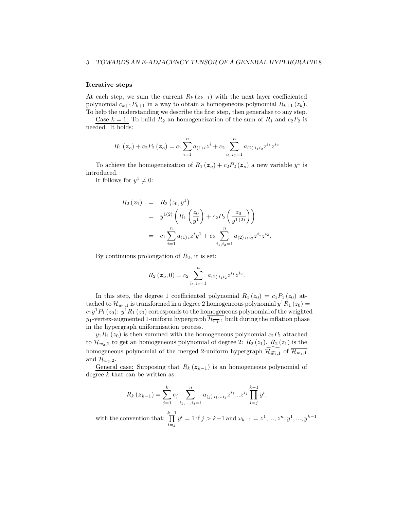#### Iterative steps

At each step, we sum the current  $R_k(z_{k-1})$  with the next layer coefficiented polynomial  $c_{k+1}P_{k+1}$  in a way to obtain a homogeneous polynomial  $R_{k+1}(z_k)$ . To help the understanding we describe the first step, then generalise to any step.

Case  $k = 1$ : To build  $R_2$  an homogeneization of the sum of  $R_1$  and  $c_2P_2$  is needed. It holds:

$$
R_1(z_o) + c_2 P_2(z_o) = c_1 \sum_{i=1}^{n} a_{(1)i} z^i + c_2 \sum_{i_1, i_2=1}^{n} a_{(2)i_1 i_2} z^{i_1} z^{i_2}
$$

To achieve the homogeneization of  $R_1(z_o) + c_2 P_2(z_o)$  a new variable  $y<sup>1</sup>$  is introduced.

It follows for  $y^1 \neq 0$ :

$$
R_2(z_1) = R_2(z_0, y^1)
$$
  
=  $y^{1(2)} \left( R_1 \left( \frac{z_0}{y^1} \right) + c_2 P_2 \left( \frac{z_0}{y^{1(2)}} \right) \right)$   
=  $c_1 \sum_{i=1}^n a_{(1)i} z^i y^1 + c_2 \sum_{i_1, i_2=1}^n a_{(2)i_1 i_2} z^{i_1} z^{i_2}.$ 

By continuous prolongation of  $R_2$ , it is set:

$$
R_2(z_o, 0) = c_2 \sum_{i_1, i_2=1}^n a_{(2) i_1 i_2} z^{i_1} z^{i_2}.
$$

In this step, the degree 1 coefficiented polynomial  $R_1(z_0) = c_1 P_1(z_0)$  attached to  $\mathcal{H}_{w_1,1}$  is transformed in a degree 2 homogeneous polynomial  $y^1R_1(z_0)$  =  $c_1y^1P_1(z_0): y^1R_1(z_0)$  corresponds to the homogeneous polynomial of the weighted  $y_1$ -vertex-augmented 1-uniform hypergraph  $\overline{\mathcal{H}_{w_1,1}}$  built during the inflation phase in the hypergraph uniformisation process.

 $y_1R_1(z_0)$  is then summed with the homogeneous polynomial  $c_2P_2$  attached to  $\mathcal{H}_{w_2,2}$  to get an homogeneous polynomial of degree 2:  $R_2(z_1)$ .  $R_2(z_1)$  is the homogeneous polynomial of the merged 2-uniform hypergraph  $\mathcal{H}_{\widehat{w_1,1}}$  of  $\mathcal{H}_{w_1,1}$ and  $\mathcal{H}_{w_2,2}$ .

General case: Supposing that  $R_k(z_{k-1})$  is an homogeneous polynomial of degree  $k$  that can be written as:

$$
R_k(z_{k-1}) = \sum_{j=1}^k c_j \sum_{i_1,\dots,i_j=1}^n a_{(j) i_1 \dots i_j} z^{i_1} \dots z^{i_j} \prod_{l=j}^{k-1} y^l,
$$

with the convention that:  $\prod^{k-1}$  $_{l=j}$  $y^{l} = 1$  if  $j > k-1$  and  $\omega_{k-1} = z^{1}, ..., z^{n}, y^{1}, ..., y^{k-1}$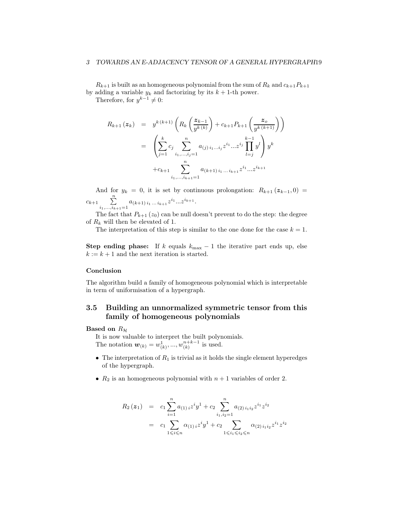$R_{k+1}$  is built as an homogeneous polynomial from the sum of  $R_k$  and  $c_{k+1}P_{k+1}$ by adding a variable  $y_k$  and factorizing by its  $k + 1$ -th power.

Therefore, for  $y^{k-1} \neq 0$ :

$$
R_{k+1}(z_k) = y^{k(k+1)} \left( R_k \left( \frac{z_{k-1}}{y^{k(k)}} \right) + c_{k+1} P_{k+1} \left( \frac{z_o}{y^{k(k+1)}} \right) \right)
$$
  

$$
= \left( \sum_{j=1}^k c_j \sum_{i_1, \dots, i_j=1}^n a_{(j) i_1 \dots i_j} z^{i_1} \dots z^{i_j} \prod_{l=j}^{k-1} y^l \right) y^k
$$
  

$$
+ c_{k+1} \sum_{i_1, \dots, i_{k+1}=1}^n a_{(k+1) i_1 \dots i_{k+1}} z^{i_1} \dots z^{i_{k+1}}
$$

And for  $y_k = 0$ , it is set by continuous prolongation:  $R_{k+1} (z_{k-1}, 0) =$  $c_{k+1} \sum_{i_1,\ldots,i_{k+1}=1}^n a_{(k+1) i_1 \ldots i_{k+1}} z^{i_1} \ldots z^{i_{k+1}}.$ 

The fact that  $P_{k+1} (z_0)$  can be null doesn't prevent to do the step: the degree of  $R_k$  will then be elevated of 1.

The interpretation of this step is similar to the one done for the case  $k = 1$ .

Step ending phase: If k equals  $k_{\text{max}} - 1$  the iterative part ends up, else  $k := k + 1$  and the next iteration is started.

#### Conclusion

The algorithm build a family of homogeneous polynomial which is interpretable in term of uniformisation of a hypergraph.

## 3.5 Building an unnormalized symmetric tensor from this family of homogeneous polynomials

#### Based on  $R_H$

It is now valuable to interpret the built polynomials. The notation  $w_{(k)} = w_{(k)}^1, ..., w_{(k)}^{n+k-1}$  is used.

- The interpretation of  $R_1$  is trivial as it holds the single element hyperedges of the hypergraph.
- $R_2$  is an homogeneous polynomial with  $n + 1$  variables of order 2.

$$
R_2(z_1) = c_1 \sum_{i=1}^n a_{(1)i} z^i y^1 + c_2 \sum_{i_1, i_2=1}^n a_{(2)i_1 i_2} z^{i_1} z^{i_2}
$$
  
= 
$$
c_1 \sum_{1 \leq i \leq n} \alpha_{(1)i} z^i y^1 + c_2 \sum_{1 \leq i_1 \leq i_2 \leq n} \alpha_{(2)i_1 i_2} z^{i_1} z^{i_2}
$$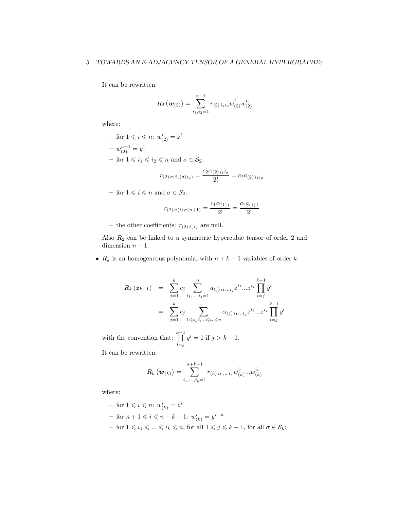It can be rewritten:

$$
R_2(\boldsymbol{w}_{(2)}) = \sum_{i_1,i_2=1}^{n+1} r_{(2) i_1 i_2} w_{(2)}^{i_1} w_{(2)}^{i_2}
$$

where:

- for  $1 \leqslant i \leqslant n$ :  $w^i_{(2)} = z^i$  $-w_{(2)}^{n+1}=y^1$ – for  $1 \leq i_1 \leq i_2 \leq n$  and  $\sigma \in \mathcal{S}_2$ :  $c_2 \alpha_{(2)}$ 

$$
r_{(2) \sigma(i_1)\sigma(i_2)} = \frac{c_2 \alpha_{(2) i_1 i_2}}{2!} = c_2 a_{(2) i_1 i_2}
$$

– for  $1 \leqslant i \leqslant n$  and  $\sigma \in \mathcal{S}_2$ :

$$
r_{(2) \sigma(i) \sigma(n+1)} = \frac{c_1 \alpha_{(1)i}}{2!} = \frac{c_1 a_{(1)i}}{2!}
$$

– the other coefficients:  $r_{(2) i_1 i_2}$  are null.

Also  $R_2$  can be linked to a symmetric hypercubic tensor of order 2 and dimension  $n + 1$ .

•  $R_k$  is an homogeneous polynomial with  $n + k - 1$  variables of order k.

$$
R_k(z_{k-1}) = \sum_{j=1}^k c_j \sum_{i_1, ..., i_j=1}^n a_{(j) i_1...i_j} z^{i_1} ... z^{i_j} \prod_{l=j}^{k-1} y^l
$$
  

$$
= \sum_{j=1}^k c_j \sum_{1 \leq i_1 \leq ... \leq i_j \leq n} \alpha_{(j) i_1...i_j} z^{i_1} ... z^{i_j} \prod_{l=j}^{k-1} y^l
$$

with the convention that:  $\prod^{k-1}$  $l = j$  $y^l = 1$  if  $j > k - 1$ .

It can be rewritten:

$$
R_k(\boldsymbol{w}_{(k)}) = \sum_{i_1,\dots,i_k=1}^{n+k-1} r_{(k) i_1 \dots i_k} w_{(k)}^{i_1 \dots w_{(k)}^{i_k}}
$$

where:

 $-$  for  $1 \leqslant i \leqslant n$ :  $w_{(k)}^i = z^i$  $-$  for  $n+1 \leqslant i \leqslant n+k-1$ :  $w_{(k)}^i = y^{i-n}$  $-$  for  $1 \leq i_1 \leq \dots \leq i_k \leq n$ , for all  $1 \leq j \leq k-1$ , for all  $σ ∈ S_k$ :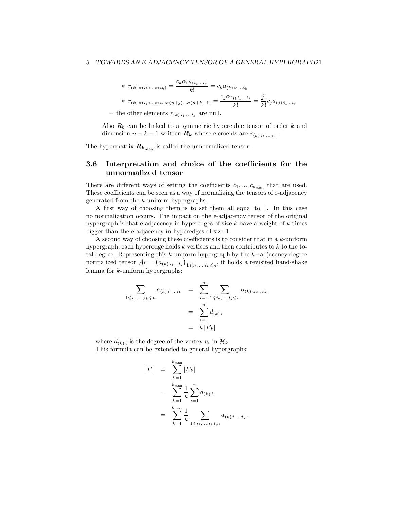\* 
$$
r_{(k) \sigma(i_1) \dots \sigma(i_k)} = \frac{c_k \alpha_{(k) i_1 \dots i_k}}{k!} = c_k a_{(k) i_1 \dots i_k}
$$
  
\*  $r_{(k) \sigma(i_1) \dots \sigma(i_j) \sigma(n+j) \dots \sigma(n+k-1)} = \frac{c_j \alpha_{(j) i_1 \dots i_j}}{k!} = \frac{j!}{k!} c_j a_{(j) i_1 \dots i_j}$ 

– the other elements  $r_{(k) i_1 ... i_k}$  are null.

Also  $R_k$  can be linked to a symmetric hypercubic tensor of order  $k$  and dimension  $n + k - 1$  written  $\mathbf{R}_k$  whose elements are  $r_{(k) i_1 ... i_k}$ .

The hypermatrix  $R_{k_{\text{max}}}$  is called the unnormalized tensor.

## 3.6 Interpretation and choice of the coefficients for the unnormalized tensor

There are different ways of setting the coefficients  $c_1, ..., c_{k_{\text{max}}}$  that are used. These coefficients can be seen as a way of normalizing the tensors of e-adjacency generated from the k-uniform hypergraphs.

A first way of choosing them is to set them all equal to 1. In this case no normalization occurs. The impact on the e-adjacency tensor of the original hypergraph is that e-adjacency in hyperedges of size  $k$  have a weight of  $k$  times bigger than the e-adjacency in hyperedges of size 1.

A second way of choosing these coefficients is to consider that in a  $k$ -uniform hypergraph, each hyperedge holds  $k$  vertices and then contributes to  $k$  to the total degree. Representing this k-uniform hypergraph by the k−adjacency degree normalized tensor  $A_k = (a_{(k) i_1...i_k})_{1 \leq i_1,...,i_k \leq n}$ , it holds a revisited hand-shake lemma for k-uniform hypergraphs:

$$
\sum_{1 \leq i_1, \dots, i_k \leq n} a_{(k) i_1 \dots i_k} = \sum_{i=1}^n \sum_{1 \leq i_2, \dots, i_k \leq n} a_{(k) i_2 \dots i_k}
$$

$$
= \sum_{i=1}^n d_{(k) i}
$$

$$
= k |E_k|
$$

where  $d_{(k)i}$  is the degree of the vertex  $v_i$  in  $\mathcal{H}_k$ . This formula can be extended to general hypergraphs:

$$
|E| = \sum_{k=1}^{k_{\text{max}}} |E_k|
$$
  
= 
$$
\sum_{k=1}^{k_{\text{max}}} \frac{1}{k} \sum_{i=1}^{n} d_{(k)i}
$$
  
= 
$$
\sum_{k=1}^{k_{\text{max}}} \frac{1}{k} \sum_{1 \leq i_1, ..., i_k \leq n} a_{(k)i_1...i_k}.
$$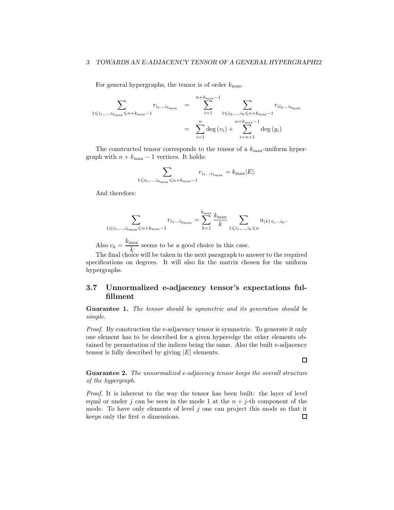For general hypergraphs, the tensor is of order  $k_{\text{max}}$ .

$$
\sum_{1 \leq i_1, \dots, i_{k_{\max}}} \sum_{\substack{r_{i_1 \dots i_{k_{\max}}-1} \\ \vdots \\ r_{i_{\max}}-1}} r_{i_1 \dots i_{k_{\max}}-1} = \sum_{i=1}^{n+k_{\max}-1} \sum_{\substack{1 \leq i_2, \dots, i_k \leq n+k_{\max}-1 \\ n+k_{\max}-1 \\ i=n+1}} r_{i i_2 \dots i_{k_{\max}}}
$$

The constructed tensor corresponds to the tensor of a  $k_{\text{max}}$ -uniform hypergraph with  $n+k_{\rm max}-1$  vertices. It holds:

$$
\sum_{1 \leq i_1, \dots, i_{k_{\max}} \leq n + k_{\max} - 1} r_{i_1 \dots i_{k_{\max}}} = k_{\max} |E|.
$$

And therefore:

$$
\sum_{1 \leq i_1, \dots, i_{k_{\max}} \leq n+k_{\max}-1} r_{i_1 \dots i_{k_{\max}}} = \sum_{k=1}^{k_{\max}} \frac{k_{\max}}{k} \sum_{1 \leq i_1, \dots, i_k \leq n} a_{(k) i_1 \dots i_k}.
$$

Also  $c_k = \frac{k_{\text{max}}}{l}$  $\frac{\pi}{k}$  seems to be a good choice in this case.

The final choice will be taken in the next paragraph to answer to the required specifications on degrees. It will also fix the matrix chosen for the uniform hypergraphs.

## <span id="page-21-0"></span>3.7 Unnormalized e-adjacency tensor's expectations fulfillment

Guarantee 1. The tensor should be symmetric and its generation should be simple.

Proof. By construction the e-adjacency tensor is symmetric. To generate it only one element has to be described for a given hyperedge the other elements obtained by permutation of the indices being the same. Also the built e-adjacency tensor is fully described by giving  $|E|$  elements.

Guarantee 2. The unnormalized e-adjacency tensor keeps the overall structure of the hypergraph.

 $\Box$ 

Proof. It is inherent to the way the tensor has been built: the layer of level equal or under j can be seen in the mode 1 at the  $n + j$ -th component of the mode. To have only elements of level  $j$  one can project this mode so that it keeps only the first  $n$  dimensions.  $\Box$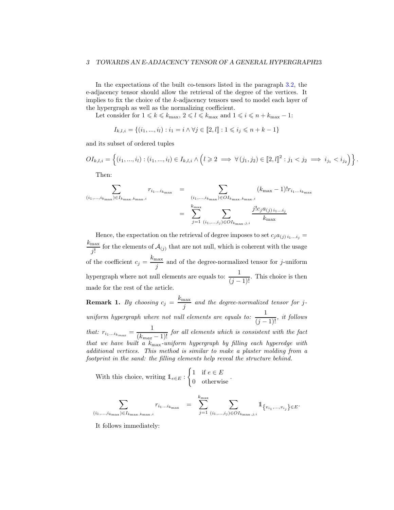In the expectations of the built co-tensors listed in the paragraph [3.2,](#page-9-1) the e-adjacency tensor should allow the retrieval of the degree of the vertices. It implies to fix the choice of the k-adjacency tensors used to model each layer of the hypergraph as well as the normalizing coefficient.

Let consider for  $1 \leq k \leq k_{\text{max}}$ ,  $2 \leq l \leq k_{\text{max}}$  and  $1 \leq i \leq n + k_{\text{max}} - 1$ :

$$
I_{k,l,i} = \{(i_1, ..., i_l) : i_1 = i \land \forall j \in [\![2, l]\!]: 1 \leq i_j \leq n + k - 1\}
$$

and its subset of ordered tuples

$$
OI_{k,l,i} = \left\{ (i_1, ..., i_l) : (i_1, ..., i_l) \in I_{k,l,i} \land \left( l \geq 2 \implies \forall (j_1, j_2) \in [2, l]]^2 : j_1 < j_2 \implies i_{j_1} < i_{j_2} \right) \right\}.
$$

Then:

$$
\sum_{(i_1,\ldots,i_{k_{\max}})\in I_{k_{\max},k_{\max},i}} r_{i_1\ldots i_{k_{\max}}}
$$
\n
$$
= \sum_{j=1}^{(i_1,\ldots,i_{k_{\max}})\in O I_{k_{\max},k_{\max},i}} (k_{\max}-1)!r_{i_1\ldots i_{k_{\max},i}}
$$
\n
$$
= \sum_{j=1}^{k_{\max}} \sum_{(i_1,\ldots,i_j)\in O I_{k_{\max},j,i}} \frac{j!c_j a_{(j)i_1\ldots i_j}}{k_{\max}}
$$

Hence, the expectation on the retrieval of degree imposes to set  $c_j a_{(j) i_1...i_j} =$  $k_{\max}$  $\frac{\text{max}}{j!}$  for the elements of  $\mathcal{A}_{(j)}$  that are not null, which is coherent with the usage of the coefficient  $c_j = \frac{k_{\text{max}}}{k}$  $j \frac{\text{max}}{j}$  and of the degree-normalized tensor for j-uniform hypergraph where not null elements are equals to:  $\frac{1}{(j-1)!}$ . This choice is then made for the rest of the article.

**Remark 1.** By choosing  $c_j = \frac{k_{\text{max}}}{s}$  $\frac{\text{max}}{j}$  and the degree-normalized tensor for juniform hypergraph where not null elements are equals to:  $\frac{1}{(j-1)!}$ , it follows that:  $r_{i_1...i_{k_{max}}} = \frac{1}{(k_{max} - 1)!}$  for all elements which is consistent with the fact that we have built a  $k_{\text{max}}$ -uniform hypergraph by filling each hyperedge with additional vertices. This method is similar to make a plaster molding from a footprint in the sand: the filling elements help reveal the structure behind.

With this choice, writing 
$$
\mathbb{1}_{e \in E}
$$
: 
$$
\begin{cases} 1 & \text{if } e \in E \\ 0 & \text{otherwise} \end{cases}
$$

$$
\sum_{(i_1,...,i_{k_{\max}})\in I_{k_{\max},k_{\max},i}}r_{i_1...i_{k_{\max}}}\ =\ \sum_{j=1}^{k_{\max}}\sum_{(i_1,...,i_j)\in O I_{k_{\max},j,i}}1\!\!1_{\left\{v_{i_1},...,v_{i_j}\right\}\in E}.
$$

.

It follows immediately: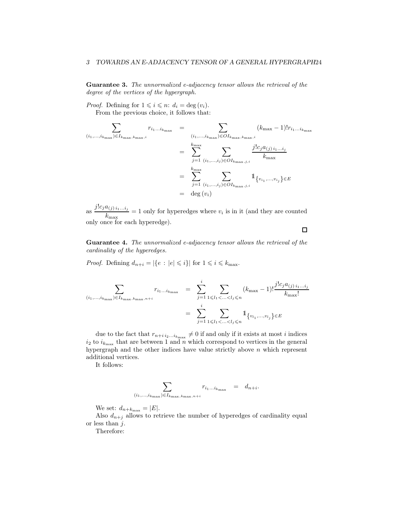Guarantee 3. The unnormalized e-adjacency tensor allows the retrieval of the degree of the vertices of the hypergraph.

*Proof.* Defining for  $1 \leq i \leq n$ :  $d_i = \deg(v_i)$ . From the previous choice, it follows that:

$$
\sum_{(i_1,\ldots,i_{k_{\max}})\in I_{k_{\max},i}} r_{i_1\ldots i_{k_{\max}}} = \sum_{(i_1,\ldots,i_{k_{\max}})\in O I_{k_{\max},k_{\max},i}} (k_{\max} - 1)! r_{i_1\ldots i_{k_{\max}}}
$$
\n
$$
= \sum_{j=1}^{k_{\max}} \sum_{(i_1,\ldots,i_j)\in O I_{k_{\max},j,i}} \frac{j! c_j a_{(j)} i_1\ldots i_j}{k_{\max}}
$$
\n
$$
= \sum_{j=1}^{k_{\max}} \sum_{(i_1,\ldots,i_j)\in O I_{k_{\max},j,i}} 1_{\{v_{i_1},\ldots,v_{i_j}\}\in E}
$$
\n
$$
= \deg(v_i)
$$

as  $\frac{j!c_j a_{(j)i_1...i_j}}{l}$  $k_{\text{max}}$  = 1 only for hyperedges where  $v_i$  is in it (and they are counted only once for each hyperedge).

Guarantee 4. The unnormalized e-adjacency tensor allows the retrieval of the cardinality of the hyperedges.

*Proof.* Defining  $d_{n+i} = |\{e : |e| \leq i\}|$  for  $1 \leq i \leq k_{\text{max}}$ .

$$
\sum_{(i_1,\ldots,i_{k_{\max}})\in I_{k_{\max},k_{\max},n+i}} r_{i_1\ldots i_{k_{\max}}} = \sum_{j=1}^i \sum_{1 \leq l_1 < \ldots < l_j \leq n} (k_{\max} - 1)! \frac{j! c_j a_{(j) i_1\ldots i_j}}{k_{\max}!}
$$
\n
$$
= \sum_{j=1}^i \sum_{1 \leq l_1 < \ldots < l_j \leq n} 1_{\{v_{l_1},\ldots,v_{l_j}\} \in E}
$$

due to the fact that  $r_{n+i i_2...i_{k_{\text{max}}}} \neq 0$  if and only if it exists at most i indices  $i_2$  to  $i_{k_{\text{max}}}$  that are between 1 and n which correspond to vertices in the general hypergraph and the other indices have value strictly above  $n$  which represent additional vertices.

It follows:

$$
\sum_{(i_1,\ldots,i_{k_{\max}})\in I_{k_{\max},k_{\max},n+i}} r_{i_1\ldots i_{k_{\max}}} = d_{n+i}.
$$

We set:  $d_{n+k_{\text{max}}} = |E|$ .

Also  $d_{n+i}$  allows to retrieve the number of hyperedges of cardinality equal or less than  $j$ .

Therefore:

 $\Box$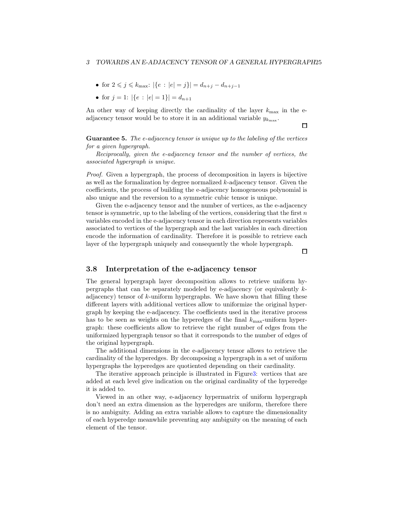- for  $2 \leq j \leq k_{\text{max}}$ :  $|\{e : |e| = j\}| = d_{n+j} d_{n+j-1}$
- for  $j = 1$ :  $|\{e : |e| = 1\}| = d_{n+1}$

An other way of keeping directly the cardinality of the layer  $k_{\text{max}}$  in the eadjacency tensor would be to store it in an additional variable  $y_{k_{\text{max}}}$ .

Guarantee 5. The e-adjacency tensor is unique up to the labeling of the vertices for a given hypergraph.

Reciprocally, given the e-adjacency tensor and the number of vertices, the associated hypergraph is unique.

*Proof.* Given a hypergraph, the process of decomposition in layers is bijective as well as the formalization by degree normalized k-adjacency tensor. Given the coefficients, the process of building the e-adjacency homogeneous polynomial is also unique and the reversion to a symmetric cubic tensor is unique.

Given the e-adjacency tensor and the number of vertices, as the e-adjacency tensor is symmetric, up to the labeling of the vertices, considering that the first  $n$ variables encoded in the e-adjacency tensor in each direction represents variables associated to vertices of the hypergraph and the last variables in each direction encode the information of cardinality. Therefore it is possible to retrieve each layer of the hypergraph uniquely and consequently the whole hypergraph.

 $\Box$ 

 $\Box$ 

## 3.8 Interpretation of the e-adjacency tensor

The general hypergraph layer decomposition allows to retrieve uniform hypergraphs that can be separately modeled by e-adjacency (or equivalently kadjacency) tensor of  $k$ -uniform hypergraphs. We have shown that filling these different layers with additional vertices allow to uniformize the original hypergraph by keeping the e-adjacency. The coefficients used in the iterative process has to be seen as weights on the hyperedges of the final  $k_{\text{max}}$ -uniform hypergraph: these coefficients allow to retrieve the right number of edges from the uniformized hypergraph tensor so that it corresponds to the number of edges of the original hypergraph.

The additional dimensions in the e-adjacency tensor allows to retrieve the cardinality of the hyperedges. By decomposing a hypergraph in a set of uniform hypergraphs the hyperedges are quotiented depending on their cardinality.

The iterative approach principle is illustrated in Figur[e3:](#page-25-0) vertices that are added at each level give indication on the original cardinality of the hyperedge it is added to.

Viewed in an other way, e-adjacency hypermatrix of uniform hypergraph don't need an extra dimension as the hyperedges are uniform, therefore there is no ambiguity. Adding an extra variable allows to capture the dimensionality of each hyperedge meanwhile preventing any ambiguity on the meaning of each element of the tensor.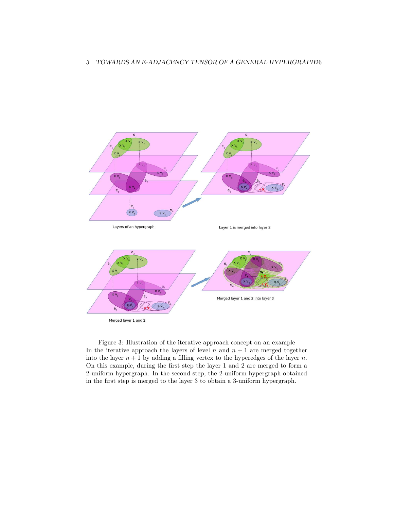

<span id="page-25-0"></span>Figure 3: Illustration of the iterative approach concept on an example In the iterative approach the layers of level  $n$  and  $n + 1$  are merged together into the layer  $n + 1$  by adding a filling vertex to the hyperedges of the layer n. On this example, during the first step the layer 1 and 2 are merged to form a 2-uniform hypergraph. In the second step, the 2-uniform hypergraph obtained in the first step is merged to the layer 3 to obtain a 3-uniform hypergraph.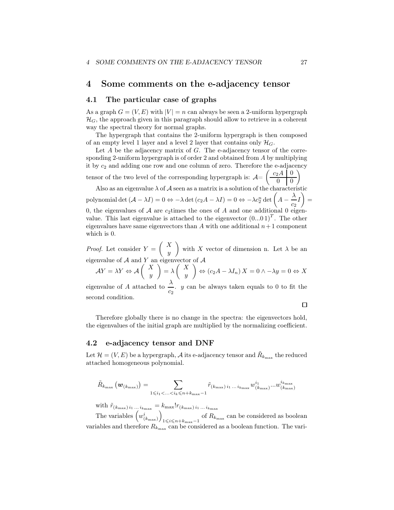## <span id="page-26-0"></span>4 Some comments on the e-adjacency tensor

#### 4.1 The particular case of graphs

As a graph  $G = (V, E)$  with  $|V| = n$  can always be seen a 2-uniform hypergraph  $\mathcal{H}_G$ , the approach given in this paragraph should allow to retrieve in a coherent way the spectral theory for normal graphs.

The hypergraph that contains the 2-uniform hypergraph is then composed of an empty level 1 layer and a level 2 layer that contains only  $\mathcal{H}_G$ .

Let  $A$  be the adjacency matrix of  $G$ . The e-adjacency tensor of the corresponding 2-uniform hypergraph is of order 2 and obtained from A by multiplying it by  $c_2$  and adding one row and one column of zero. Therefore the e-adjacency  $\int c_2A | 0$  $\overline{\phantom{0}}$ 

tensor of the two level of the corresponding hypergraph is:  $\mathcal{A}$ =  $0 \mid 0$ 

Also as an eigenvalue  $\lambda$  of A seen as a matrix is a solution of the characteristic

polynomial det  $(A - \lambda I) = 0 \Leftrightarrow -\lambda \det (c_2 A - \lambda I) = 0 \Leftrightarrow -\lambda c_2^n \det \left(A - \frac{\lambda}{c_2}\right)$  $\frac{1}{c_2}I$  $\overline{\phantom{0}}$ = 0, the eigenvalues of  $A$  are  $c_2$ times the ones of  $A$  and one additional 0 eigen-

value. This last eigenvalue is attached to the eigenvector  $(0...01)^T$ . The other eigenvalues have same eigenvectors than A with one additional  $n+1$  component which is 0.

*Proof.* Let consider  $Y =$  $\left( X\right)$  $\overline{y}$  $\overline{ }$ with X vector of dimension n. Let  $\lambda$  be an eigenvalue of  $A$  and Y an eigenvector of  $A$ 

$$
\mathcal{A}Y = \lambda Y \Leftrightarrow \mathcal{A} \begin{pmatrix} X \\ y \end{pmatrix} = \lambda \begin{pmatrix} X \\ y \end{pmatrix} \Leftrightarrow (c_2A - \lambda I_n) X = 0 \wedge -\lambda y = 0 \Leftrightarrow X
$$

eigenvalue of A attached to  $\frac{\lambda}{c_2}$ . y can be always taken equals to 0 to fit the second condition.

 $\Box$ 

Therefore globally there is no change in the spectra: the eigenvectors hold, the eigenvalues of the initial graph are multiplied by the normalizing coefficient.

#### 4.2 e-adjacency tensor and DNF

Let  $\mathcal{H} = (V, E)$  be a hypergraph,  $\mathcal A$  its e-adjacency tensor and  $\tilde R_{k_{\max}}$  the reduced attached homogeneous polynomial.

$$
\tilde{R}_{k_{\max}}\left(\bm{w}_{(k_{\max})}\right) = \sum_{1 \leq i_1 < \ldots < i_k \leq n+k_{\max}-1} \tilde{r}_{(k_{\max}) i_1 \ldots i_{k_{\max}}} w^{i_1}_{(k_{\max})} \ldots w^{i_{k_{\max}}}_{(k_{\max})}
$$

with  $\tilde{r}_{(k_{\text{max}}) i_1 \dots i_{k_{\text{max}}} } = k_{\text{max}}! r_{(k_{\text{max}}) i_1 \dots i_{k_{\text{max}}} }$ 

The variables  $\left(w_{(k_{\text{max}})}^i\right)$  $\overline{ }$  $1 \leq i \leq n+k_{\text{max}}-1$  of  $R_{k_{\text{max}}}$  can be considered as boolean variables and therefore  $R_{k_{\text{max}}}$  can be considered as a boolean function. The vari-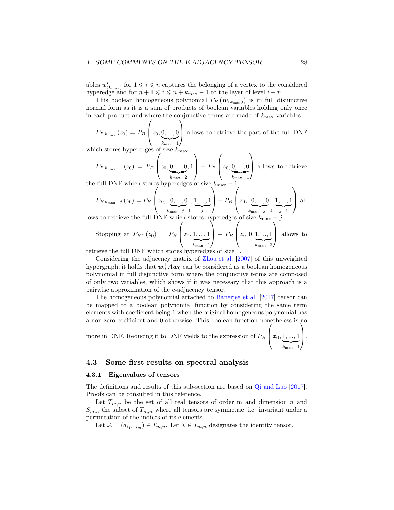#### 4 SOME COMMENTS ON THE E-ADJACENCY TENSOR 28

ables  $w^i_{(k_{\text{max}})}$  for  $1 \leq i \leq n$  captures the belonging of a vertex to the considered hyperedge and for  $n + 1 \leq i \leq n + k_{\text{max}} - 1$  to the layer of level  $i - n$ .

This boolean homogeneous polynomial  $P_B(w_{(k_{\text{max}})})$  is in full disjunctive normal form as it is a sum of products of boolean variables holding only once in each product and where the conjunctive terms are made of  $k_{\text{max}}$  variables.  $\sqrt{ }$  $\bigwedge$ 

 $P_{B k_{\max}} (z_0) = P_{B}$  $z_0, \underbrace{0, ..., 0}_{\sim}$  $\sum_{k_{\rm max}-1}$ allows to retrieve the part of the full DNF

which stores hyperedges of size  $k_{\text{max}}$ .

$$
P_{B k_{\text{max}}-1}(z_0) = P_B\left(z_0, \underbrace{0, \dots, 0}_{k_{\text{max}}-2}, 1\right) - P_B\left(z_0, \underbrace{0, \dots, 0}_{k_{\text{max}}-1}\right)
$$
 allows to retrieve  
the following problem.

the full DNF which stores hyperedges of size  $k_{\text{max}} - 1$ .  $\setminus$  $\sqrt{ }$ 

$$
P_{B k_{\max}-j}(z_0) = P_B \left( z_0, \underbrace{0, ..., 0}_{k_{\max}-j-1}, \underbrace{1, ..., 1}_{j} \right) - P_B \left( z_0, \underbrace{0, ..., 0}_{k_{\max}-j-2}, \underbrace{1, ..., 1}_{j-1} \right) \text{ all-}
$$

lows to retrieve the full DNF which store  $\sqrt{ }$ /.  $\sqrt{ }$  $\setminus$ 

Stopping at  $P_{B_1}(z_0) = P_B$  $z_0, \underbrace{1, ..., 1}$  $\sum_{k_{\rm max}-1}$  $\big\} - P_B$  $z_0, 0, \underbrace{1, ..., 1}$  $\sum_{k_{\rm max}-2}$ allows to

retrieve the full DNF which stores hyperedges of size

Considering the adjacency matrix of [Zhou et al.](#page-33-2) [\[2007](#page-33-2)] of this unweighted hypergraph, it holds that  $\boldsymbol{w}_0^\top A \boldsymbol{w}_0$  can be considered as a boolean homogeneous polynomial in full disjunctive form where the conjunctive terms are composed of only two variables, which shows if it was necessary that this approach is a pairwise approximation of the e-adjacency tensor.

The homogeneous polynomial attached to [Banerjee et al.](#page-32-3) [\[2017\]](#page-32-3) tensor can be mapped to a boolean polynomial function by considering the same term elements with coefficient being 1 when the original homogeneous polynomial has a non-zero coefficient and 0 otherwise. This boolean function nonetheless is no

more in DNF. Reducing it to DNF yields to the expression of  $P_B \mid \mathbf{z}_0, \underbrace{1, ..., 1}$  $\sum_{k_{\rm max}-1}$  $\cdot$   $\cdot$ 

#### 4.3 Some first results on spectral analysis

#### 4.3.1 Eigenvalues of tensors

The definitions and results of this sub-section are based on [Qi and Luo](#page-33-12) [\[2017\]](#page-33-12). Proofs can be consulted in this reference.

Let  $T_{m,n}$  be the set of all real tensors of order m and dimension n and  $S_{m,n}$  the subset of  $T_{m,n}$  where all tensors are symmetric, i.e. invariant under a permutation of the indices of its elements.

Let  $\mathcal{A} = (a_{i_1...i_m}) \in T_{m,n}$ . Let  $\mathcal{I} \in T_{m,n}$  designates the identity tensor.

 $\setminus$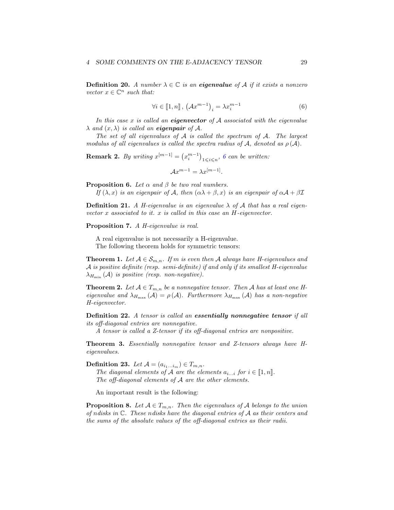**Definition 20.** A number  $\lambda \in \mathbb{C}$  is an eigenvalue of A if it exists a nonzero vector  $x \in \mathbb{C}^n$  such that:

<span id="page-28-0"></span>
$$
\forall i \in [1, n], \left(\mathcal{A}x^{m-1}\right)_i = \lambda x_i^{m-1} \tag{6}
$$

In this case  $x$  is called an eigenvector of  $A$  associated with the eigenvalue  $\lambda$  and  $(x, \lambda)$  is called an **eigenpair** of A.

The set of all eigenvalues of  $A$  is called the spectrum of  $A$ . The largest modulus of all eigenvalues is called the spectra radius of A, denoted as  $\rho(\mathcal{A})$ .

**Remark 2.** By writing  $x^{[m-1]} = (x_i^{m-1})_{1 \leqslant i \leqslant n}$ , [6](#page-28-0) can be written:

$$
\mathcal{A}x^{m-1} = \lambda x^{[m-1]}.
$$

**Proposition 6.** Let  $\alpha$  and  $\beta$  be two real numbers.

If  $(\lambda, x)$  is an eigenpair of A, then  $(\alpha \lambda + \beta, x)$  is an eigenpair of  $\alpha \mathcal{A} + \beta \mathcal{I}$ 

**Definition 21.** A H-eigenvalue is an eigenvalue  $\lambda$  of A that has a real eigenvector  $x$  associated to it.  $x$  is called in this case an  $H$ -eigenvector.

Proposition 7. A H-eigenvalue is real.

A real eigenvalue is not necessarily a H-eigenvalue. The following theorem holds for symmetric tensors:

**Theorem 1.** Let  $A \in S_{m,n}$ . If m is even then A always have H-eigenvalues and A is positive definite (resp. semi-definite) if and only if its smallest H-eigenvalue  $\lambda_{H_{\min}}(\mathcal{A})$  is positive (resp. non-negative).

**Theorem 2.** Let  $A \in T_{m,n}$  be a nonnegative tensor. Then A has at least one Heigenvalue and  $\lambda_{H_{\text{max}}}(\mathcal{A}) = \rho(\mathcal{A})$ . Furthermore  $\lambda_{H_{\text{max}}}(\mathcal{A})$  has a non-negative H-eigenvector.

Definition 22. A tensor is called an essentially nonnegative tensor if all its off-diagonal entries are nonnegative.

A tensor is called a Z-tensor if its off-diagonal entries are nonpositive.

Theorem 3. Essentially nonnegative tensor and Z-tensors always have Heigenvalues.

Definition 23. Let  $\mathcal{A} = (a_{i_1...i_m}) \in T_{m,n}$ .

The diagonal elements of A are the elements  $a_{i...i}$  for  $i \in [1, n]$ . The off-diagonal elements of  $A$  are the other elements.

An important result is the following:

**Proposition 8.** Let  $A \in T_{m,n}$ . Then the eigenvalues of A belongs to the union of ndisks in C. These ndisks have the diagonal entries of A as their centers and the sums of the absolute values of the off-diagonal entries as their radii.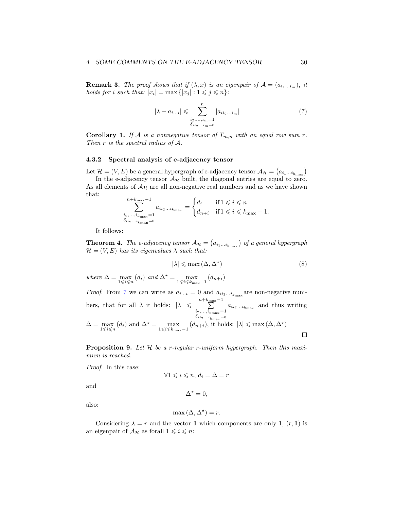#### 4 SOME COMMENTS ON THE E-ADJACENCY TENSOR 30

**Remark 3.** The proof shows that if  $(\lambda, x)$  is an eigenpair of  $\mathcal{A} = (a_{i_1...i_m})$ , it holds for i such that:  $|x_i| = \max\{|x_j| : 1 \leq j \leq n\}$ :

<span id="page-29-0"></span>
$$
|\lambda - a_{i...i}| \leqslant \sum_{\substack{i_2, \dots, i_m = 1 \\ \delta_{ii_2...i_m} = 0}}^n |a_{ii_2...i_m}| \tag{7}
$$

**Corollary 1.** If A is a nonnegative tensor of  $T_{m,n}$  with an equal row sum r. Then r is the spectral radius of A.

#### 4.3.2 Spectral analysis of e-adjacency tensor

Let  $\mathcal{H} = (V, E)$  be a general hypergraph of e-adjacency tensor  $\mathcal{A}_{\mathcal{H}} = (a_{i_1...i_{k_{\text{max}}}})$ In the e-adjacency tensor  $\mathcal{A}_{\mathcal{H}}$  built, the diagonal entries are equal to zero. As all elements of  $A_{\mathcal{H}}$  are all non-negative real numbers and as we have shown that:

$$
\sum_{\substack{i_2,\ldots,i_{k_{\max}}=1\\ \delta_{ii_2\ldots i_{k_{\max}}=0}}}^{n+k_{\max}-1} a_{ii_2\ldots i_{k_{\max}}} = \begin{cases} d_i & \text{if } 1 \leqslant i \leqslant n \\ d_{n+i} & \text{if } 1 \leqslant i \leqslant k_{\max}-1. \end{cases}
$$

It follows:

**Theorem 4.** The e-adjacency tensor  $A_{\mathcal{H}} = (a_{i_1...i_{k_{\text{max}}}})$  of a general hypergraph  $\mathcal{H} = (V, E)$  has its eigenvalues  $\lambda$  such that:

$$
|\lambda| \leq \max\left(\Delta, \Delta^{\star}\right) \tag{8}
$$

where  $\Delta = \max_{1 \leq i \leq n} (d_i)$  and  $\Delta^* = \max_{1 \leq i \leq k_{\text{max}}-1} (d_{n+i})$ 

*Proof.* From [7](#page-29-0) we can write as  $a_{i...i} = 0$  and  $a_{ii_2...i_{k_{\text{max}}}}$  are non-negative numbers, that for all  $\lambda$  it holds:  $|\lambda| \leq \sum_{n+k_{\text{max}}-1}$  $\sum_{i_2,\ldots,i_{k_{\text{max}}}=1} a_{ii_2\ldots i_{k_{\text{max}}}}$  and thus writing  $\delta_{i i_2...i_{k_{\rm max}}}$ =0  $\Delta = \max_{1 \leq i \leq n} (d_i)$  and  $\Delta^* = \max_{1 \leq i \leq k_{\text{max}}-1} (d_{n+i}),$  it holds:  $|\lambda| \leq \max(\Delta, \Delta^*)$  $\Box$ 

**Proposition 9.** Let  $H$  be a r-regular r-uniform hypergraph. Then this maximum is reached.

Proof. In this case:

$$
\forall 1 \leqslant i \leqslant n, d_i = \Delta = r
$$

and

also:

$$
\max\left(\Delta, \Delta^{\star}\right) = r.
$$

 $\Delta^* = 0,$ 

Considering  $\lambda = r$  and the vector 1 which components are only 1,  $(r, 1)$  is an eigenpair of  $A_{\mathcal{H}}$  as forall  $1 \leq i \leq n$ :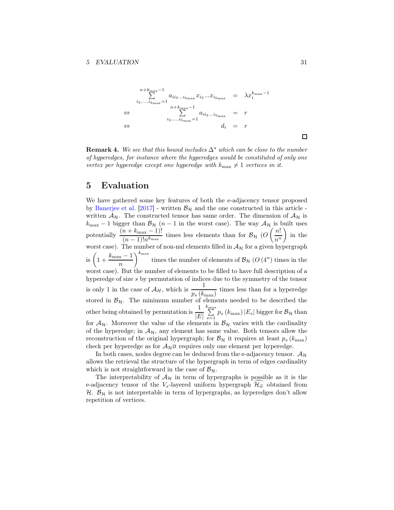$$
\begin{array}{rcl}\n n + k_{\max} - 1 \\
\sum_{i_2, \dots, i_{k_{\max}}} a_{i i_2 \dots i_{k_{\max}}} x_{i_2} \dots x_{i_{k_{\max}}} & = & \lambda x_i^{k_{\max} - 1} \\
\Leftrightarrow \qquad \qquad \sum_{i_2, \dots, i_{k_{\max}} = 1}^{n + k_{\max} - 1} a_{i i_2 \dots i_{k_{\max}}} & = & r \\
\Leftrightarrow \qquad \qquad d_i & = & r\n \end{array}
$$

**Remark 4.** We see that this bound includes  $\Delta^*$  which can be close to the number of hyperedges, for instance where the hyperedges would be constituted of only one vertex per hyperedge except one hyperedge with  $k_{\text{max}} \neq 1$  vertices in it.

## 5 Evaluation

We have gathered some key features of both the e-adjacency tensor proposed by [Banerjee et al.](#page-32-3) [\[2017](#page-32-3)] - written  $\mathcal{B}_{H}$  and the one constructed in this article written  $\mathcal{A}_{\mathcal{H}}$ . The constructed tensor has same order. The dimension of  $\mathcal{A}_{\mathcal{H}}$  is  $k_{\text{max}} - 1$  bigger than  $\mathcal{B}_{\mathcal{H}}$  (n – 1 in the worst case). The way  $\mathcal{A}_{\mathcal{H}}$  is built uses potentially  $\frac{(n + k_{\text{max}} - 1)!}{(n - 1)! n^{k_{\text{max}}}}$  times less elements than for  $\mathcal{B}_{\mathcal{H}}$  (O  $\left( n\right)$  $n^n$  $\setminus$ in the worst case). The number of non-nul elements filled in  $A_{\mathcal{H}}$  for a given hypergraph is  $\left(1+\frac{k_{\text{max}}-1}{\right)$ n  $\setminus^{k_{\max}}$ times the number of elements of  $\mathcal{B}_{\mathcal{H}}(O(4^n))$  times in the worst case). But the number of elements to be filled to have full description of a hyperedge of size s by permutation of indices due to the symmetry of the tensor is only 1 in the case of  $A_H$ , which is  $\frac{1}{p_s(k_{\text{max}})}$  times less than for a hyperedge stored in  $\mathcal{B}_{\mathcal{H}}$ . The minimum number of elements needed to be described the other being obtained by permutation is  $\frac{1}{|E|}$  $\sum_{n=1}^{\infty}$  $\sum_{s=1} p_s (k_{\text{max}}) |E_s|$  bigger for  $\mathcal{B}_{\mathcal{H}}$  than for  $A_{\mathcal{H}}$ . Moreover the value of the elements in  $\mathcal{B}_{\mathcal{H}}$  varies with the cardinality of the hyperedge; in  $\mathcal{A}_{\mathcal{H}}$ , any element has same value. Both tensors allow the reconstruction of the original hypergraph; for  $\mathcal{B}_{H}$  it requires at least  $p_s(k_{\text{max}})$ check per hyperedge as for  $A_{\mathcal{H}}$ it requires only one element per hyperedge.

In both cases, nodes degree can be deduced from the e-adjacency tensor.  $A_{\mathcal{H}}$ allows the retrieval the structure of the hypergraph in term of edges cardinality which is not straightforward in the case of  $B_{\mathcal{H}}$ .

The interpretability of  $\mathcal{A}_{\mathcal{H}}$  in term of hypergraphs is possible as it is the e-adjacency tensor of the  $V_s$ -layered uniform hypergraph  $\mathcal{H}_{\hat{w}}$  obtained from  $H.$   $B<sub>H</sub>$  is not interpretable in term of hypergraphs, as hyperedges don't allow repetition of vertices.

 $\Box$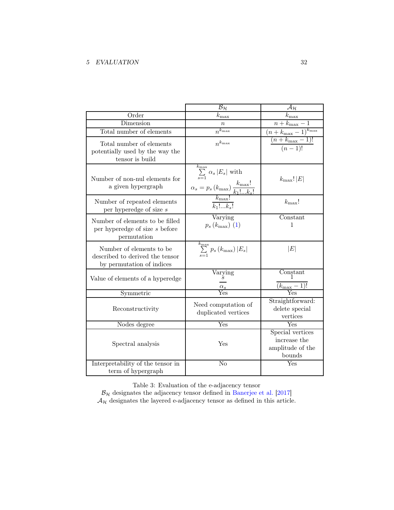### 5 EVALUATION 32

|                                                                                          | $\overline{\mathcal{B}_{\mathcal{H}}}$                                                                                                      | $\overline{\mathcal{A}_{\mathcal{H}}}$                         |
|------------------------------------------------------------------------------------------|---------------------------------------------------------------------------------------------------------------------------------------------|----------------------------------------------------------------|
| Order                                                                                    | $k_{\rm max}$                                                                                                                               | $k_{\rm max}$                                                  |
| Dimension                                                                                | $\boldsymbol{n}$                                                                                                                            | $\overline{n+k_{\max}}-1$                                      |
| Total number of elements                                                                 | $n^{k_{\max}}$                                                                                                                              |                                                                |
| Total number of elements<br>potentially used by the way the<br>tensor is build           | $n^{k_{\max}}$                                                                                                                              | $\frac{(n + k_{\max} - 1)^{k_{\max}}}{(n + k_{\max} - 1)!}$    |
| Number of non-nul elements for<br>a given hypergraph                                     | $\sum_{s=1}^{k_{\text{max}}} \alpha_s  E_s $ with<br>$\alpha_s = p_s \left( k_{\text{max}} \right) \frac{k_{\text{max}}!}{k_1! \dots k_s!}$ | $k_{\text{max}}$ ! $ E $                                       |
| Number of repeated elements<br>per hyperedge of size $s$                                 | $\overline{k_1!k_s!}$                                                                                                                       | $k_{\text{max}}!$                                              |
| Number of elements to be filled<br>per hyperedge of size s before<br>permutation         | Varying<br>$p_s(k_{\rm max})$ (1)                                                                                                           | Constant<br>$\mathbf{1}$                                       |
| Number of elements to be<br>described to derived the tensor<br>by permutation of indices | $\sum_{s=1}^{k_{\text{max}}} p_s(k_{\text{max}})  E_s $                                                                                     | E                                                              |
| Value of elements of a hyperedge                                                         | Varying<br>$\frac{\alpha_s}{\text{Yes}}$                                                                                                    | Constant<br>$\frac{k_{\text{max}}-1)!}{N}$                     |
| Symmetric                                                                                |                                                                                                                                             |                                                                |
| Reconstructivity                                                                         | Need computation of<br>duplicated vertices                                                                                                  | Straightforward:<br>delete special<br>vertices                 |
| Nodes degree                                                                             | $\overline{\mathrm{Yes}}$                                                                                                                   | Yes                                                            |
| Spectral analysis                                                                        | Yes                                                                                                                                         | Special vertices<br>increase the<br>amplitude of the<br>bounds |
| Interpretability of the tensor in<br>term of hypergraph                                  | $\overline{\text{No}}$                                                                                                                      | Yes                                                            |

Table 3: Evaluation of the e-adjacency tensor

 $B<sub>H</sub>$  designates the adjacency tensor defined in [Banerjee et al.](#page-32-3) [\[2017\]](#page-32-3)  $A_{\mathcal{H}}$  designates the layered e-adjacency tensor as defined in this article.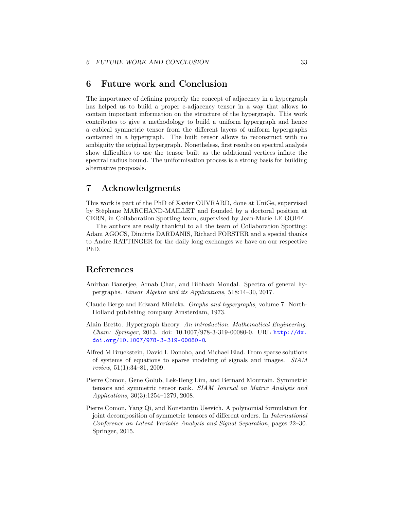## <span id="page-32-1"></span>6 Future work and Conclusion

The importance of defining properly the concept of adjacency in a hypergraph has helped us to build a proper e-adjacency tensor in a way that allows to contain important information on the structure of the hypergraph. This work contributes to give a methodology to build a uniform hypergraph and hence a cubical symmetric tensor from the different layers of uniform hypergraphs contained in a hypergraph. The built tensor allows to reconstruct with no ambiguity the original hypergraph. Nonetheless, first results on spectral analysis show difficulties to use the tensor built as the additional vertices inflate the spectral radius bound. The uniformisation process is a strong basis for building alternative proposals.

## 7 Acknowledgments

This work is part of the PhD of Xavier OUVRARD, done at UniGe, supervised by Stéphane MARCHAND-MAILLET and founded by a doctoral position at CERN, in Collaboration Spotting team, supervised by Jean-Marie LE GOFF.

The authors are really thankful to all the team of Collaboration Spotting: Adam AGOCS, Dimitris DARDANIS, Richard FORSTER and a special thanks to Andre RATTINGER for the daily long exchanges we have on our respective PhD.

## References

- <span id="page-32-3"></span>Anirban Banerjee, Arnab Char, and Bibhash Mondal. Spectra of general hypergraphs. Linear Algebra and its Applications, 518:14–30, 2017.
- <span id="page-32-0"></span>Claude Berge and Edward Minieka. Graphs and hypergraphs, volume 7. North-Holland publishing company Amsterdam, 1973.
- <span id="page-32-2"></span>Alain Bretto. Hypergraph theory. An introduction. Mathematical Engineering. Cham: Springer, 2013. doi: 10.1007/978-3-319-00080-0. URL [http://dx.](http://dx.doi.org/10.1007/978-3-319-00080-0) [doi.org/10.1007/978-3-319-00080-0](http://dx.doi.org/10.1007/978-3-319-00080-0).
- <span id="page-32-4"></span>Alfred M Bruckstein, David L Donoho, and Michael Elad. From sparse solutions of systems of equations to sparse modeling of signals and images. SIAM review, 51(1):34–81, 2009.
- <span id="page-32-6"></span>Pierre Comon, Gene Golub, Lek-Heng Lim, and Bernard Mourrain. Symmetric tensors and symmetric tensor rank. SIAM Journal on Matrix Analysis and Applications, 30(3):1254–1279, 2008.
- <span id="page-32-5"></span>Pierre Comon, Yang Qi, and Konstantin Usevich. A polynomial formulation for joint decomposition of symmetric tensors of different orders. In International Conference on Latent Variable Analysis and Signal Separation, pages 22–30. Springer, 2015.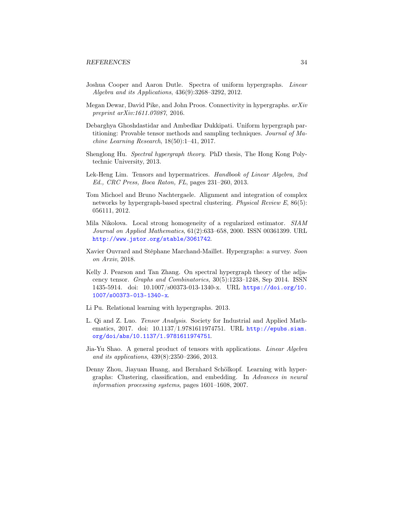- <span id="page-33-6"></span>Joshua Cooper and Aaron Dutle. Spectra of uniform hypergraphs. Linear Algebra and its Applications, 436(9):3268–3292, 2012.
- <span id="page-33-3"></span>Megan Dewar, David Pike, and John Proos. Connectivity in hypergraphs. arXiv preprint arXiv:1611.07087, 2016.
- <span id="page-33-5"></span>Debarghya Ghoshdastidar and Ambedkar Dukkipati. Uniform hypergraph partitioning: Provable tensor methods and sampling techniques. Journal of Machine Learning Research, 18(50):1–41, 2017.
- <span id="page-33-7"></span>Shenglong Hu. Spectral hypergraph theory. PhD thesis, The Hong Kong Polytechnic University, 2013.
- <span id="page-33-11"></span>Lek-Heng Lim. Tensors and hypermatrices. Handbook of Linear Algebra, 2nd Ed., CRC Press, Boca Raton, FL, pages 231–260, 2013.
- <span id="page-33-4"></span>Tom Michoel and Bruno Nachtergaele. Alignment and integration of complex networks by hypergraph-based spectral clustering. Physical Review E, 86(5): 056111, 2012.
- <span id="page-33-10"></span>Mila Nikolova. Local strong homogeneity of a regularized estimator. SIAM Journal on Applied Mathematics, 61(2):633–658, 2000. ISSN 00361399. URL <http://www.jstor.org/stable/3061742>.
- <span id="page-33-1"></span>Xavier Ouvrard and Stéphane Marchand-Maillet. Hypergraphs: a survey. Soon on Arxiv, 2018.
- <span id="page-33-9"></span>Kelly J. Pearson and Tan Zhang. On spectral hypergraph theory of the adjacency tensor. Graphs and Combinatorics, 30(5):1233–1248, Sep 2014. ISSN 1435-5914. doi: 10.1007/s00373-013-1340-x. URL [https://doi.org/10.](https://doi.org/10.1007/s00373-013-1340-x) [1007/s00373-013-1340-x](https://doi.org/10.1007/s00373-013-1340-x).
- <span id="page-33-0"></span>Li Pu. Relational learning with hypergraphs. 2013.
- <span id="page-33-12"></span>L. Qi and Z. Luo. Tensor Analysis. Society for Industrial and Applied Mathematics, 2017. doi: 10.1137/1.9781611974751. URL [http://epubs.siam.](http://epubs.siam.org/doi/abs/10.1137/1.9781611974751) [org/doi/abs/10.1137/1.9781611974751](http://epubs.siam.org/doi/abs/10.1137/1.9781611974751).
- <span id="page-33-8"></span>Jia-Yu Shao. A general product of tensors with applications. Linear Algebra and its applications, 439(8):2350–2366, 2013.
- <span id="page-33-2"></span>Denny Zhou, Jiayuan Huang, and Bernhard Schölkopf. Learning with hypergraphs: Clustering, classification, and embedding. In Advances in neural information processing systems, pages 1601–1608, 2007.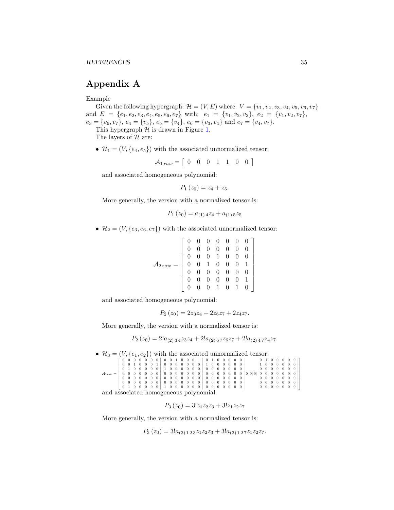## Appendix A

#### Example

Given the following hypergraph:  $\mathcal{H} = (V, E)$  where:  $V = \{v_1, v_2, v_3, v_4, v_5, v_6, v_7\}$ and  $E = \{e_1, e_2, e_3, e_4, e_5, e_6, e_7\}$  with:  $e_1 = \{v_1, v_2, v_3\}, e_2 = \{v_1, v_2, v_7\},\$  $e_3 = \{v_6, v_7\}, e_4 = \{v_5\}, e_5 = \{v_4\}, e_6 = \{v_3, v_4\}$  and  $e_7 = \{v_4, v_7\}.$ 

This hypergraph  $H$  is drawn in Figure [1.](#page-9-0)

The layers of  $H$  are:

•  $\mathcal{H}_1 = (V, \{e_4, e_5\})$  with the associated unnormalized tensor:

 $A_{1\,raw} = \left[\begin{array}{cccccc} 0 & 0 & 0 & 1 & 1 & 0 & 0 \end{array}\right]$ 

and associated homogeneous polynomial:

 $P_1(z_0) = z_4 + z_5.$ 

More generally, the version with a normalized tensor is:

$$
P_1(z_0) = a_{(1)4}z_4 + a_{(1)5}z_5
$$

•  $\mathcal{H}_2 = (V, \{e_3, e_6, e_7\})$  with the associated unnormalized tensor:

$$
\mathcal{A}_{2\,raw} = \left[\begin{array}{cccccc} 0 & 0 & 0 & 0 & 0 & 0 & 0 \\ 0 & 0 & 0 & 0 & 0 & 0 & 0 \\ 0 & 0 & 0 & 1 & 0 & 0 & 0 \\ 0 & 0 & 1 & 0 & 0 & 0 & 1 \\ 0 & 0 & 0 & 0 & 0 & 0 & 0 \\ 0 & 0 & 0 & 0 & 0 & 0 & 1 \\ 0 & 0 & 0 & 1 & 0 & 1 & 0 \end{array}\right]
$$

and associated homogeneous polynomial:

$$
P_2(z_0) = 2z_3z_4 + 2z_6z_7 + 2z_4z_7.
$$

More generally, the version with a normalized tensor is:

$$
P_2(z_0) = 2!a_{(2)34}z_3z_4 + 2!a_{(2)67}z_6z_7 + 2!a_{(2)47}z_4z_7.
$$

•  $\mathcal{H}_3 = (V, \{e_1, e_2\})$  with the associated unnormalized tensor:

|                                        | $[0\ 0\ 0\ 0\ 0\ 0\ 0\ 0\ 0\ 1\ 0\ 0\ 0\ 1\ 0\ 1\ 0\ 1\ 0\ 0\ 0\ 0\ 0]$ |  |  |  |  |  |  |  |  |  |  |                 |  |  |  | 0100000               |
|----------------------------------------|-------------------------------------------------------------------------|--|--|--|--|--|--|--|--|--|--|-----------------|--|--|--|-----------------------|
|                                        |                                                                         |  |  |  |  |  |  |  |  |  |  |                 |  |  |  |                       |
|                                        |                                                                         |  |  |  |  |  |  |  |  |  |  |                 |  |  |  | 0000000               |
|                                        |                                                                         |  |  |  |  |  |  |  |  |  |  | 0 0 0 000000000 |  |  |  |                       |
|                                        |                                                                         |  |  |  |  |  |  |  |  |  |  |                 |  |  |  | $0\ 0\ 0\ 0\ 0\ 0\ 0$ |
|                                        |                                                                         |  |  |  |  |  |  |  |  |  |  |                 |  |  |  |                       |
|                                        |                                                                         |  |  |  |  |  |  |  |  |  |  |                 |  |  |  |                       |
| and associated homogeneous polynomial: |                                                                         |  |  |  |  |  |  |  |  |  |  |                 |  |  |  |                       |

 $P_3(z_0) = 3!z_1z_2z_3 + 3!z_1z_2z_7$ 

More generally, the version with a normalized tensor is:

$$
P_3(z_0) = 3!a_{(3)123}z_1z_2z_3 + 3!a_{(3)127}z_1z_2z_7.
$$